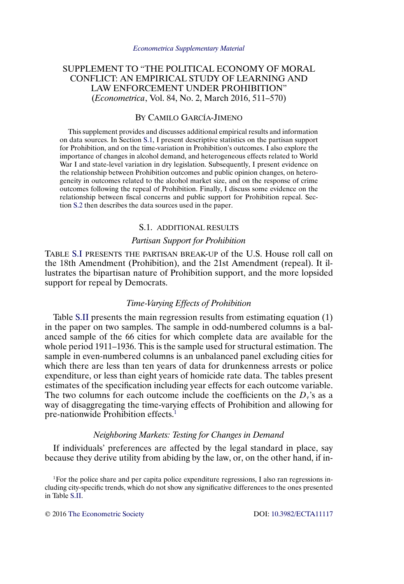# SUPPLEMENT TO "THE POLITICAL ECONOMY OF MORAL CONFLICT: AN EMPIRICAL STUDY OF LEARNING AND LAW ENFORCEMENT UNDER PROHIBITION" (*Econometrica*, Vol. 84, No. 2, March 2016, 511–570)

## BY CAMILO GARCÍA-JIMENO

This supplement provides and discusses additional empirical results and information on data sources. In Section S.1, I present descriptive statistics on the partisan support for Prohibition, and on the time-variation in Prohibition's outcomes. I also explore the importance of changes in alcohol demand, and heterogeneous effects related to World War I and state-level variation in dry legislation. Subsequently, I present evidence on the relationship between Prohibition outcomes and public opinion changes, on heterogeneity in outcomes related to the alcohol market size, and on the response of crime outcomes following the repeal of Prohibition. Finally, I discuss some evidence on the relationship between fiscal concerns and public support for Prohibition repeal. Section [S.2](#page-29-0) then describes the data sources used in the paper.

#### S.1. ADDITIONAL RESULTS

#### *Partisan Support for Prohibition*

TABLE [S.I](#page-1-0) PRESENTS THE PARTISAN BREAK-UP of the U.S. House roll call on the 18th Amendment (Prohibition), and the 21st Amendment (repeal). It illustrates the bipartisan nature of Prohibition support, and the more lopsided support for repeal by Democrats.

### *Time-Varying Effects of Prohibition*

Table [S.II](#page-2-0) presents the main regression results from estimating equation (1) in the paper on two samples. The sample in odd-numbered columns is a balanced sample of the 66 cities for which complete data are available for the whole period 1911–1936. This is the sample used for structural estimation. The sample in even-numbered columns is an unbalanced panel excluding cities for which there are less than ten years of data for drunkenness arrests or police expenditure, or less than eight years of homicide rate data. The tables present estimates of the specification including year effects for each outcome variable. The two columns for each outcome include the coefficients on the  $D<sub>\tau</sub>$ 's as a way of disaggregating the time-varying effects of Prohibition and allowing for pre-nationwide Prohibition effects.<sup>1</sup>

### *Neighboring Markets: Testing for Changes in Demand*

If individuals' preferences are affected by the legal standard in place, say because they derive utility from abiding by the law, or, on the other hand, if in-

<sup>1</sup>For the police share and per capita police expenditure regressions, I also ran regressions including city-specific trends, which do not show any significative differences to the ones presented in Table [S.II.](#page-2-0)

© 2016 [The Econometric Society](http://www.econometricsociety.org/) DOI: [10.3982/ECTA11117](http://dx.doi.org/10.3982/ECTA11117)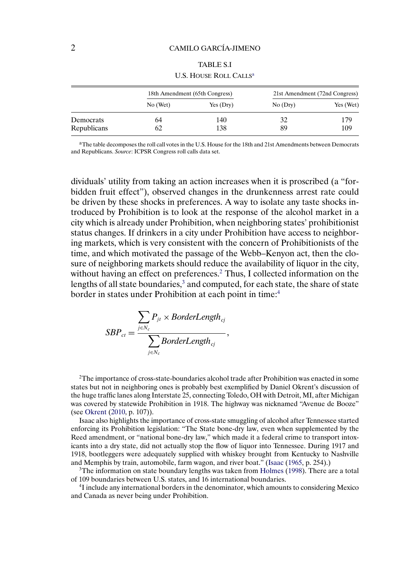<span id="page-1-0"></span>

|             |          | 18th Amendment (65th Congress) |         | 21st Amendment (72nd Congress) |
|-------------|----------|--------------------------------|---------|--------------------------------|
|             | No (Wet) | Yes(Dry)                       | No(Dry) | Yes (Wet)                      |
| Democrats   | 64       | 140                            |         | 179                            |
| Republicans | 62       | 138                            | 89      | 109                            |

TABLE S.I U.S. HOUSE ROLL CALLS<sup>a</sup>

<sup>a</sup>The table decomposes the roll call votes in the U.S. House for the 18th and 21st Amendments between Democrats and Republicans. *Source*: ICPSR Congress roll calls data set.

dividuals' utility from taking an action increases when it is proscribed (a "forbidden fruit effect"), observed changes in the drunkenness arrest rate could be driven by these shocks in preferences. A way to isolate any taste shocks introduced by Prohibition is to look at the response of the alcohol market in a city which is already under Prohibition, when neighboring states' prohibitionist status changes. If drinkers in a city under Prohibition have access to neighboring markets, which is very consistent with the concern of Prohibitionists of the time, and which motivated the passage of the Webb–Kenyon act, then the closure of neighboring markets should reduce the availability of liquor in the city, without having an effect on preferences.<sup>2</sup> Thus, I collected information on the lengths of all state boundaries,<sup>3</sup> and computed, for each state, the share of state border in states under Prohibition at each point in time:<sup>4</sup>

$$
SBP_{ct} = \frac{\sum_{j \in N_c} P_{jt} \times BorderLength_{cj}}{\sum_{j \in N_c} BorderLength_{cj}},
$$

<sup>2</sup>The importance of cross-state-boundaries alcohol trade after Prohibition was enacted in some states but not in neighboring ones is probably best exemplified by Daniel Okrent's discussion of the huge traffic lanes along Interstate 25, connecting Toledo, OH with Detroit, MI, after Michigan was covered by statewide Prohibition in 1918. The highway was nicknamed "Avenue de Booze" (see [Okrent](#page-36-0) [\(2010,](#page-36-0) p. 107)).

Isaac also highlights the importance of cross-state smuggling of alcohol after Tennessee started enforcing its Prohibition legislation: "The State bone-dry law, even when supplemented by the Reed amendment, or "national bone-dry law," which made it a federal crime to transport intoxicants into a dry state, did not actually stop the flow of liquor into Tennessee. During 1917 and 1918, bootleggers were adequately supplied with whiskey brought from Kentucky to Nashville and Memphis by train, automobile, farm wagon, and river boat." [\(Isaac](#page-36-0) [\(1965,](#page-36-0) p. 254).)

<sup>3</sup>The information on state boundary lengths was taken from [Holmes](#page-36-0) [\(1998\)](#page-36-0). There are a total of 109 boundaries between U.S. states, and 16 international boundaries.

4I include any international borders in the denominator, which amounts to considering Mexico and Canada as never being under Prohibition.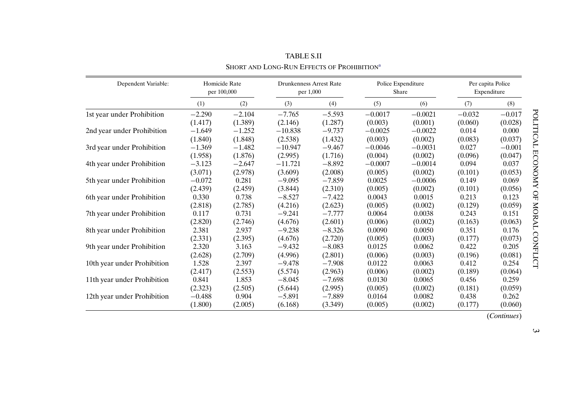<span id="page-2-0"></span>

| Dependent Variable:         |          | Homicide Rate<br>per 100,000 | Drunkenness Arrest Rate<br>per 1,000 |          | Share     | Police Expenditure |          | Per capita Police<br>Expenditure |
|-----------------------------|----------|------------------------------|--------------------------------------|----------|-----------|--------------------|----------|----------------------------------|
|                             | (1)      | (2)                          | (3)                                  | (4)      | (5)       | (6)                | (7)      | (8)                              |
| 1st year under Prohibition  | $-2.290$ | $-2.104$                     | $-7.765$                             | $-5.593$ | $-0.0017$ | $-0.0021$          | $-0.032$ | $-0.017$                         |
|                             | (1.417)  | (1.389)                      | (2.146)                              | (1.287)  | (0.003)   | (0.001)            | (0.060)  | (0.028)                          |
| 2nd year under Prohibition  | $-1.649$ | $-1.252$                     | $-10.838$                            | $-9.737$ | $-0.0025$ | $-0.0022$          | 0.014    | 0.000                            |
|                             | (1.840)  | (1.848)                      | (2.538)                              | (1.432)  | (0.003)   | (0.002)            | (0.083)  | (0.037)                          |
| 3rd year under Prohibition  | $-1.369$ | $-1.482$                     | $-10.947$                            | $-9.467$ | $-0.0046$ | $-0.0031$          | 0.027    | $-0.001$                         |
|                             | (1.958)  | (1.876)                      | (2.995)                              | (1.716)  | (0.004)   | (0.002)            | (0.096)  | (0.047)                          |
| 4th year under Prohibition  | $-3.123$ | $-2.647$                     | $-11.721$                            | $-8.892$ | $-0.0007$ | $-0.0014$          | 0.094    | 0.037                            |
|                             | (3.071)  | (2.978)                      | (3.609)                              | (2.008)  | (0.005)   | (0.002)            | (0.101)  | (0.053)                          |
| 5th year under Prohibition  | $-0.072$ | 0.281                        | $-9.095$                             | $-7.859$ | 0.0025    | $-0.0006$          | 0.149    | 0.069                            |
|                             | (2.439)  | (2.459)                      | (3.844)                              | (2.310)  | (0.005)   | (0.002)            | (0.101)  | (0.056)                          |
| 6th year under Prohibition  | 0.330    | 0.738                        | $-8.527$                             | $-7.422$ | 0.0043    | 0.0015             | 0.213    | 0.123                            |
|                             | (2.818)  | (2.785)                      | (4.216)                              | (2.623)  | (0.005)   | (0.002)            | (0.129)  | (0.059)                          |
| 7th year under Prohibition  | 0.117    | 0.731                        | $-9.241$                             | $-7.777$ | 0.0064    | 0.0038             | 0.243    | 0.151                            |
|                             | (2.820)  | (2.746)                      | (4.676)                              | (2.601)  | (0.006)   | (0.002)            | (0.163)  | (0.063)                          |
| 8th year under Prohibition  | 2.381    | 2.937                        | $-9.238$                             | $-8.326$ | 0.0090    | 0.0050             | 0.351    | 0.176                            |
|                             | (2.331)  | (2.395)                      | (4.676)                              | (2.720)  | (0.005)   | (0.003)            | (0.177)  | (0.073)                          |
| 9th year under Prohibition  | 2.320    | 3.163                        | $-9.432$                             | $-8.083$ | 0.0125    | 0.0062             | 0.422    | 0.205                            |
|                             | (2.628)  | (2.709)                      | (4.996)                              | (2.801)  | (0.006)   | (0.003)            | (0.196)  | (0.081)                          |
| 10th year under Prohibition | 1.528    | 2.397                        | $-9.478$                             | $-7.908$ | 0.0122    | 0.0063             | 0.412    | 0.254                            |
|                             | (2.417)  | (2.553)                      | (5.574)                              | (2.963)  | (0.006)   | (0.002)            | (0.189)  | (0.064)                          |
| 11th year under Prohibition | 0.841    | 1.853                        | $-8.045$                             | $-7.698$ | 0.0130    | 0.0065             | 0.456    | 0.259                            |
|                             | (2.323)  | (2.505)                      | (5.644)                              | (2.995)  | (0.005)   | (0.002)            | (0.181)  | (0.059)                          |
| 12th year under Prohibition | $-0.488$ | 0.904                        | $-5.891$                             | $-7.889$ | 0.0164    | 0.0082             | 0.438    | 0.262                            |
|                             | (1.800)  | (2.005)                      | (6.168)                              | (3.349)  | (0.005)   | (0.002)            | (0.177)  | (0.060)                          |

TABLE S.II Short [a](#page-3-0)nd Long-Run Effects of Prohibition<sup>a</sup>

(*Continues*)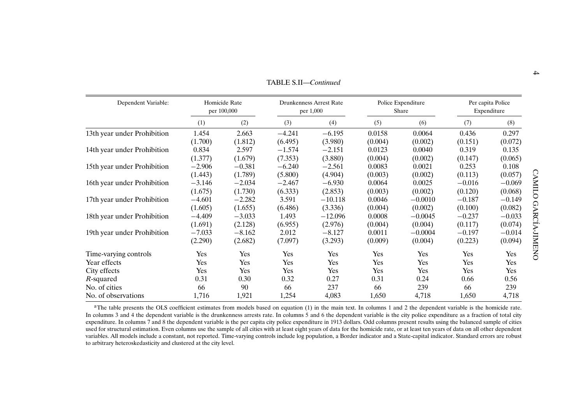<span id="page-3-0"></span>

| Dependent Variable:         |          | Homicide Rate<br>per 100,000 |          | <b>Drunkenness Arrest Rate</b><br>per 1,000 |         | Police Expenditure<br>Share |          | Per capita Police<br>Expenditure |
|-----------------------------|----------|------------------------------|----------|---------------------------------------------|---------|-----------------------------|----------|----------------------------------|
|                             | (1)      | (2)                          | (3)      | (4)                                         | (5)     | (6)                         | (7)      | (8)                              |
| 13th year under Prohibition | 1.454    | 2.663                        | $-4.241$ | $-6.195$                                    | 0.0158  | 0.0064                      | 0.436    | 0.297                            |
|                             | (1.700)  | (1.812)                      | (6.495)  | (3.980)                                     | (0.004) | (0.002)                     | (0.151)  | (0.072)                          |
| 14th year under Prohibition | 0.834    | 2.597                        | $-1.574$ | $-2.151$                                    | 0.0123  | 0.0040                      | 0.319    | 0.135                            |
|                             | (1.377)  | (1.679)                      | (7.353)  | (3.880)                                     | (0.004) | (0.002)                     | (0.147)  | (0.065)                          |
| 15th year under Prohibition | $-2.906$ | $-0.381$                     | $-6.240$ | $-2.561$                                    | 0.0083  | 0.0021                      | 0.253    | 0.108                            |
|                             | (1.443)  | (1.789)                      | (5.800)  | (4.904)                                     | (0.003) | (0.002)                     | (0.113)  | (0.057)                          |
| 16th year under Prohibition | $-3.146$ | $-2.034$                     | $-2.467$ | $-6.930$                                    | 0.0064  | 0.0025                      | $-0.016$ | $-0.069$                         |
|                             | (1.675)  | (1.730)                      | (6.333)  | (2.853)                                     | (0.003) | (0.002)                     | (0.120)  | (0.068)                          |
| 17th year under Prohibition | $-4.601$ | $-2.282$                     | 3.591    | $-10.118$                                   | 0.0046  | $-0.0010$                   | $-0.187$ | $-0.149$                         |
|                             | (1.605)  | (1.655)                      | (6.486)  | (3.336)                                     | (0.004) | (0.002)                     | (0.100)  | (0.082)                          |
| 18th year under Prohibition | $-4.409$ | $-3.033$                     | 1.493    | $-12.096$                                   | 0.0008  | $-0.0045$                   | $-0.237$ | $-0.033$                         |
|                             | (1.691)  | (2.128)                      | (6.955)  | (2.976)                                     | (0.004) | (0.004)                     | (0.117)  | (0.074)                          |
| 19th year under Prohibition | $-7.033$ | $-8.162$                     | 2.012    | $-8.127$                                    | 0.0011  | $-0.0004$                   | $-0.197$ | $-0.014$                         |
|                             | (2.290)  | (2.682)                      | (7.097)  | (3.293)                                     | (0.009) | (0.004)                     | (0.223)  | (0.094)                          |
| Time-varying controls       | Yes      | Yes                          | Yes      | Yes                                         | Yes     | Yes                         | Yes      | Yes                              |
| Year effects                | Yes      | Yes                          | Yes      | Yes                                         | Yes     | Yes                         | Yes      | Yes                              |
| City effects                | Yes      | Yes                          | Yes      | Yes                                         | Yes     | Yes                         | Yes      | Yes                              |
| R-squared                   | 0.31     | 0.30                         | 0.32     | 0.27                                        | 0.31    | 0.24                        | 0.66     | 0.56                             |
| No. of cities               | 66       | 90                           | 66       | 237                                         | 66      | 239                         | 66       | 239                              |
| No. of observations         | 1,716    | 1,921                        | 1,254    | 4,083                                       | 1,650   | 4,718                       | 1,650    | 4,718                            |

<sup>a</sup>The table presents the OLS coefficient estimates from models based on equation (1) in the main text. In columns 1 and 2 the dependent variable is the homicide rate. In columns 3 and 4 the dependent variable is the drunkenness arrests rate. In columns  $\frac{5}{1}$  and 6 the dependent variable is the city police expenditure as a fraction of total city expenditure. In columns 7 and 8 the dependent variable is the per capita city police expenditure in 1913 dollars. Odd columns presen<sup>t</sup> results using the balanced sample of cities used for structural estimation. Even columns use the sample of all cities with at least eight years of data for the homicide rate, or at least ten years of data on all other dependent variables. All models include <sup>a</sup> constant, not reported. Time-varying controls include log population, <sup>a</sup> Border indicator and <sup>a</sup> State-capital indicator. Standard errors are robust to arbitrary heteroskedasticity and clustered at the city level.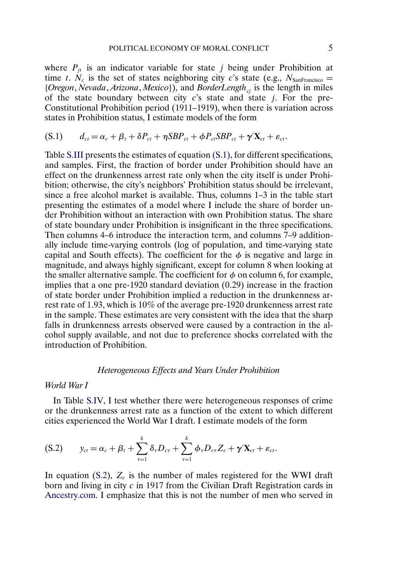<span id="page-4-0"></span>where  $P_{it}$  is an indicator variable for state j being under Prohibition at time t.  $N_c$  is the set of states neighboring city c's state (e.g.,  $N_{\text{SanFrancisco}} =$ {*Oregon*, *Nevada*, *Arizona*, *Mexico*}), and *BorderLength<sub>ci</sub>* is the length in miles of the state boundary between city  $c$ 's state and state *j*. For the pre-Constitutional Prohibition period (1911–1919), when there is variation across states in Prohibition status, I estimate models of the form

$$
(S.1) \t d_{ct} = \alpha_c + \beta_t + \delta P_{ct} + \eta SBP_{ct} + \phi P_{ct} SBP_{ct} + \gamma' \mathbf{X}_{ct} + \varepsilon_{ct}.
$$

Table [S.III](#page-5-0) presents the estimates of equation (S.1), for different specifications, and samples. First, the fraction of border under Prohibition should have an effect on the drunkenness arrest rate only when the city itself is under Prohibition; otherwise, the city's neighbors' Prohibition status should be irrelevant, since a free alcohol market is available. Thus, columns 1–3 in the table start presenting the estimates of a model where I include the share of border under Prohibition without an interaction with own Prohibition status. The share of state boundary under Prohibition is insignificant in the three specifications. Then columns 4–6 introduce the interaction term, and columns 7–9 additionally include time-varying controls (log of population, and time-varying state capital and South effects). The coefficient for the  $\phi$  is negative and large in magnitude, and always highly significant, except for column 8 when looking at the smaller alternative sample. The coefficient for  $\phi$  on column 6, for example, implies that a one pre-1920 standard deviation (0 29) increase in the fraction of state border under Prohibition implied a reduction in the drunkenness arrest rate of 1 93, which is 10% of the average pre-1920 drunkenness arrest rate in the sample. These estimates are very consistent with the idea that the sharp falls in drunkenness arrests observed were caused by a contraction in the alcohol supply available, and not due to preference shocks correlated with the introduction of Prohibition.

#### *Heterogeneous Effects and Years Under Prohibition*

#### *World War I*

In Table [S.IV,](#page-6-0) I test whether there were heterogeneous responses of crime or the drunkenness arrest rate as a function of the extent to which different cities experienced the World War I draft. I estimate models of the form

$$
(S.2) \t y_{ct} = \alpha_c + \beta_t + \sum_{\tau=1}^k \delta_\tau D_{c\tau} + \sum_{\tau=1}^k \phi_\tau D_{c\tau} Z_c + \gamma' \mathbf{X}_{ct} + \varepsilon_{ct}.
$$

In equation (S.2),  $Z_c$  is the number of males registered for the WWI draft born and living in city c in 1917 from the Civilian Draft Registration cards in [Ancestry.com](http://Ancestry.com). I emphasize that this is not the number of men who served in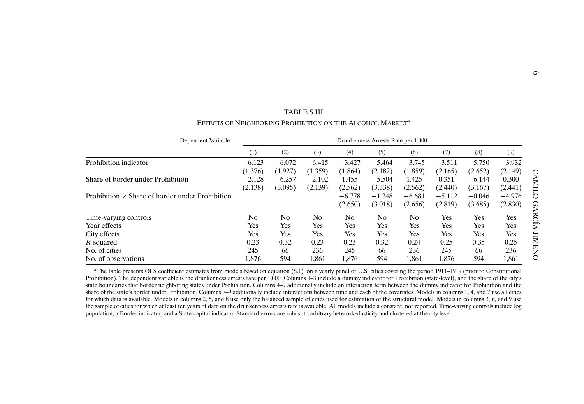<span id="page-5-0"></span>

| EFFECTS OF NEIGHBORING PROHIBITION ON THE ALCOHOL MARKET <sup>a</sup> |          |                | TABLE S.III    |                |                                    |          |          |            |          |       |
|-----------------------------------------------------------------------|----------|----------------|----------------|----------------|------------------------------------|----------|----------|------------|----------|-------|
| Dependent Variable:                                                   |          |                |                |                | Drunkenness Arrests Rate per 1,000 |          |          |            |          |       |
|                                                                       | (1)      | (2)            | (3)            | (4)            | (5)                                | (6)      | (7)      | (8)        | (9)      |       |
| Prohibition indicator                                                 | $-6.123$ | $-6.072$       | $-6.415$       | $-3.427$       | $-5.464$                           | $-3.745$ | $-3.511$ | $-5.750$   | $-3.932$ |       |
|                                                                       | (1.376)  | (1.927)        | (1.359)        | (1.864)        | (2.182)                            | (1.859)  | (2.165)  | (2.652)    | (2.149)  |       |
| Share of border under Prohibition                                     | $-2.128$ | $-6.257$       | $-2.102$       | 1.455          | $-5.504$                           | 1.425    | 0.351    | $-6.144$   | 0.300    |       |
|                                                                       | (2.138)  | (3.095)        | (2.139)        | (2.562)        | (3.338)                            | (2.562)  | (2.440)  | (3.167)    | (2.441)  | CAMIL |
| Prohibition $\times$ Share of border under Prohibition                |          |                |                | $-6.778$       | $-1.348$                           | $-6.681$ | $-5.112$ | $-0.046$   | $-4.976$ |       |
|                                                                       |          |                |                | (2.650)        | (3.018)                            | (2.656)  | (2.819)  | (3.685)    | (2.830)  |       |
| Time-varying controls                                                 | No       | N <sub>0</sub> | N <sub>0</sub> | N <sub>0</sub> | N <sub>0</sub>                     | No       | Yes      | <b>Yes</b> | Yes      |       |
| Year effects                                                          | Yes      | Yes            | Yes            | Yes            | Yes                                | Yes      | Yes      | <b>Yes</b> | Yes      |       |
| City effects                                                          | Yes      | Yes            | Yes            | Yes            | Yes                                | Yes      | Yes      | Yes        | Yes      |       |
| R-squared                                                             | 0.23     | 0.32           | 0.23           | 0.23           | 0.32                               | 0.24     | 0.25     | 0.35       | 0.25     |       |
| No. of cities                                                         | 245      | 66             | 236            | 245            | 66                                 | 236      | 245      | 66         | 236      | IMENO |
| No. of observations                                                   | 1,876    | 594            | 1,861          | 1,876          | 594                                | 1,861    | 1,876    | 594        | 1,861    |       |

<sup>a</sup>The table presents OLS coefficient estimates from models based on equation ([S.1](#page-4-0)), on a yearly panel of U.S. cities covering the period 1911–1919 (prior to Constitutional Prohibition). The dependent variable is the drunkenness arrests rate per 1,000. Columns 1–3 include <sup>a</sup> dummy indicator for Prohibition (state-level), and the share of the city's state boundaries that border neighboring states under Prohibition. Columns 4–9 additionally include an interaction term between the dummy indicator for Prohibition and the share of the state's border under Prohibition. Columns 7-9 additionally include interactions between time and each of the covariates. Models in columns 1, 4, and 7 use all cities for which data is available. Models in columns 2, 5, and 8 use only the balanced sample of cities used for estimation of the structural model. Models in columns 3, 6, and 9 use the sample of cities for which at least ten years of data on the drunkenness arrests rate is available. All models include <sup>a</sup> constant, not reported. Time-varying controls include log population, <sup>a</sup> Border indicator, and <sup>a</sup> State-capital indicator. Standard errors are robust to arbitrary heteroskedasticity and clustered at the city level.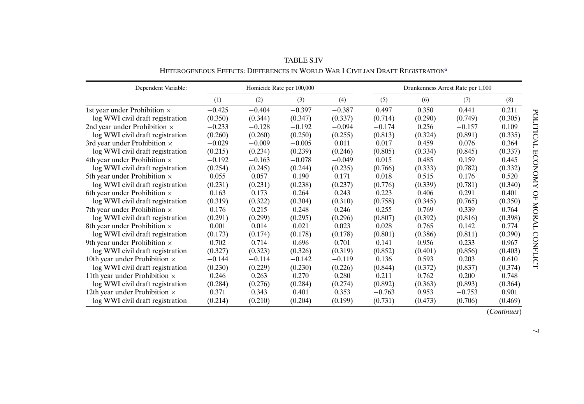<span id="page-6-0"></span>

| Dependent Variable:                  |          |          | Homicide Rate per 100,000 |          |          |         | Drunkenness Arrest Rate per 1,000 |         |
|--------------------------------------|----------|----------|---------------------------|----------|----------|---------|-----------------------------------|---------|
|                                      | (1)      | (2)      | (3)                       | (4)      | (5)      | (6)     | (7)                               | (8)     |
| 1st year under Prohibition ×         | $-0.425$ | $-0.404$ | $-0.397$                  | $-0.387$ | 0.497    | 0.350   | 0.441                             | 0.211   |
| log WWI civil draft registration     | (0.350)  | (0.344)  | (0.347)                   | (0.337)  | (0.714)  | (0.290) | (0.749)                           | (0.305) |
| 2nd year under Prohibition $\times$  | $-0.233$ | $-0.128$ | $-0.192$                  | $-0.094$ | $-0.174$ | 0.256   | $-0.157$                          | 0.109   |
| log WWI civil draft registration     | (0.260)  | (0.260)  | (0.250)                   | (0.255)  | (0.813)  | (0.324) | (0.891)                           | (0.335) |
| 3rd year under Prohibition $\times$  | $-0.029$ | $-0.009$ | $-0.005$                  | 0.011    | 0.017    | 0.459   | 0.076                             | 0.364   |
| log WWI civil draft registration     | (0.215)  | (0.234)  | (0.239)                   | (0.246)  | (0.805)  | (0.334) | (0.845)                           | (0.337) |
| 4th year under Prohibition $\times$  | $-0.192$ | $-0.163$ | $-0.078$                  | $-0.049$ | 0.015    | 0.485   | 0.159                             | 0.445   |
| log WWI civil draft registration     | (0.254)  | (0.245)  | (0.244)                   | (0.235)  | (0.766)  | (0.333) | (0.782)                           | (0.332) |
| 5th year under Prohibition $\times$  | 0.055    | 0.057    | 0.190                     | 0.171    | 0.018    | 0.515   | 0.176                             | 0.520   |
| log WWI civil draft registration     | (0.231)  | (0.231)  | (0.238)                   | (0.237)  | (0.776)  | (0.339) | (0.781)                           | (0.340) |
| 6th year under Prohibition $\times$  | 0.163    | 0.173    | 0.264                     | 0.243    | 0.223    | 0.406   | 0.291                             | 0.401   |
| log WWI civil draft registration     | (0.319)  | (0.322)  | (0.304)                   | (0.310)  | (0.758)  | (0.345) | (0.765)                           | (0.350) |
| 7th year under Prohibition $\times$  | 0.176    | 0.215    | 0.248                     | 0.246    | 0.255    | 0.769   | 0.339                             | 0.764   |
| log WWI civil draft registration     | (0.291)  | (0.299)  | (0.295)                   | (0.296)  | (0.807)  | (0.392) | (0.816)                           | (0.398) |
| 8th year under Prohibition $\times$  | 0.001    | 0.014    | 0.021                     | 0.023    | 0.028    | 0.765   | 0.142                             | 0.774   |
| log WWI civil draft registration     | (0.173)  | (0.174)  | (0.178)                   | (0.178)  | (0.801)  | (0.386) | (0.811)                           | (0.390) |
| 9th year under Prohibition $\times$  | 0.702    | 0.714    | 0.696                     | 0.701    | 0.141    | 0.956   | 0.233                             | 0.967   |
| log WWI civil draft registration     | (0.327)  | (0.323)  | (0.326)                   | (0.319)  | (0.852)  | (0.401) | (0.856)                           | (0.403) |
| 10th year under Prohibition $\times$ | $-0.144$ | $-0.114$ | $-0.142$                  | $-0.119$ | 0.136    | 0.593   | 0.203                             | 0.610   |
| log WWI civil draft registration     | (0.230)  | (0.229)  | (0.230)                   | (0.226)  | (0.844)  | (0.372) | (0.837)                           | (0.374) |
| 11th year under Prohibition $\times$ | 0.246    | 0.263    | 0.270                     | 0.280    | 0.211    | 0.762   | 0.200                             | 0.748   |
| log WWI civil draft registration     | (0.284)  | (0.276)  | (0.284)                   | (0.274)  | (0.892)  | (0.363) | (0.893)                           | (0.364) |
| 12th year under Prohibition $\times$ | 0.371    | 0.343    | 0.401                     | 0.353    | $-0.763$ | 0.953   | $-0.753$                          | 0.901   |
| log WWI civil draft registration     | (0.214)  | (0.210)  | (0.204)                   | (0.199)  | (0.731)  | (0.473) | (0.706)                           | (0.469) |

TABLE S.IV HETEROGENEOUS EFFECTS: DIFFERENCES IN WORLD WAR I CIVILIAN DRAFT REGISTRATION[a](#page-7-0)

(*Continues*)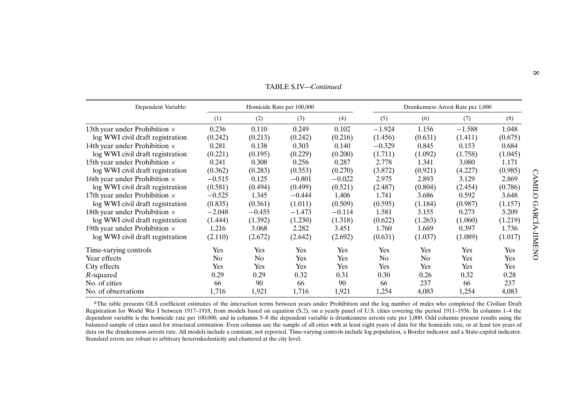<span id="page-7-0"></span>

|                                      |          |          | TABLE S.IV—Continued      |          |          |         |                                   |         |
|--------------------------------------|----------|----------|---------------------------|----------|----------|---------|-----------------------------------|---------|
| Dependent Variable:                  |          |          | Homicide Rate per 100,000 |          |          |         | Drunkenness Arrest Rate per 1,000 |         |
|                                      | (1)      | (2)      | (3)                       | (4)      | (5)      | (6)     | (7)                               | (8)     |
| 13th year under Prohibition $\times$ | 0.236    | 0.110    | 0.249                     | 0.102    | $-1.924$ | 1.156   | $-1.588$                          | 1.048   |
| log WWI civil draft registration     | (0.242)  | (0.213)  | (0.242)                   | (0.216)  | (1.456)  | (0.631) | (1.411)                           | (0.675) |
| 14th year under Prohibition $\times$ | 0.281    | 0.138    | 0.303                     | 0.140    | $-0.329$ | 0.845   | 0.153                             | 0.684   |
| log WWI civil draft registration     | (0.221)  | (0.195)  | (0.229)                   | (0.200)  | (1.711)  | (1.092) | (1.758)                           | (1.045) |
| 15th year under Prohibition $\times$ | 0.241    | 0.308    | 0.256                     | 0.287    | 2.778    | 1.341   | 3.080                             | 1.171   |
| log WWI civil draft registration     | (0.362)  | (0.283)  | (0.353)                   | (0.270)  | (3.872)  | (0.921) | (4.227)                           | (0.985) |
| 16th year under Prohibition $\times$ | $-0.515$ | 0.125    | $-0.801$                  | $-0.022$ | 2.975    | 2.893   | 3.129                             | 2.869   |
| log WWI civil draft registration     | (0.581)  | (0.494)  | (0.499)                   | (0.521)  | (2.487)  | (0.804) | (2.454)                           | (0.786) |
| 17th year under Prohibition $\times$ | $-0.525$ | 1.345    | $-0.444$                  | 1.406    | 1.741    | 3.686   | 0.592                             | 3.648   |
| log WWI civil draft registration     | (0.835)  | (0.361)  | (1.011)                   | (0.509)  | (0.595)  | (1.184) | (0.987)                           | (1.157) |
| 18th year under Prohibition $\times$ | $-2.048$ | $-0.455$ | $-1.473$                  | $-0.114$ | 1.581    | 3.155   | 0.273                             | 3.209   |
| log WWI civil draft registration     | (1.444)  | (1.392)  | (1.230)                   | (1.318)  | (0.622)  | (1.263) | (1.060)                           | (1.219) |
| 19th year under Prohibition $\times$ | 1.216    | 3.068    | 2.282                     | 3.451    | 1.760    | 1.669   | 0.397                             | 1.736   |
| log WWI civil draft registration     | (2.110)  | (2.672)  | (2.642)                   | (2.692)  | (0.631)  | (1.037) | (1.089)                           | (1.017) |
| Time-varying controls                | Yes      | Yes      | Yes                       | Yes      | Yes      | Yes     | Yes                               | Yes     |
| Year effects                         | No       | No       | Yes                       | Yes      | No       | No      | Yes                               | Yes     |
| City effects                         | Yes      | Yes      | Yes                       | Yes      | Yes      | Yes     | Yes                               | Yes     |
| R-squared                            | 0.29     | 0.29     | 0.32                      | 0.31     | 0.30     | 0.26    | 0.32                              | 0.28    |
| No. of cities                        | 66       | 90       | 66                        | 90       | 66       | 237     | 66                                | 237     |
| No. of observations                  | 1,716    | 1,921    | 1,716                     | 1,921    | 1,254    | 4,083   | 1,254                             | 4,083   |

aThe table presents OLS coefficient estimates of the interaction terms between years under Prohibition and the log number of males who completed the Civilian Draft Registration for World War <sup>I</sup> between 1917–1918, from models based on equation ([S.2\)](#page-4-0), on <sup>a</sup> yearly panel of U.S. cities covering the period 1911–1936. In columns 1–4 the dependent variable is the homicide rate per 100,000, and in columns 5-8 the dependent variable is drunkenness arrests rate per 1,000. Odd columns present results using the balanced sample of cities used for structural estimation. Even columns use the sample of all cities with at least eight years of data for the homicide rate, or at least ten years of data on the drunkenness arrests rate. All models include <sup>a</sup> constant, not reported. Time-varying controls include log population, <sup>a</sup> Border indicator and <sup>a</sup> State-capital indicator. Standard errors are robust to arbitrary heteroskedasticity and clustered at the city level.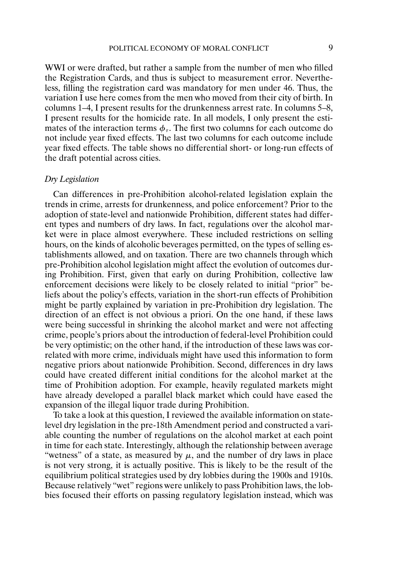WWI or were drafted, but rather a sample from the number of men who filled the Registration Cards, and thus is subject to measurement error. Nevertheless, filling the registration card was mandatory for men under 46. Thus, the variation I use here comes from the men who moved from their city of birth. In columns 1–4, I present results for the drunkenness arrest rate. In columns 5–8, I present results for the homicide rate. In all models, I only present the estimates of the interaction terms  $\phi_{\tau}$ . The first two columns for each outcome do not include year fixed effects. The last two columns for each outcome include year fixed effects. The table shows no differential short- or long-run effects of the draft potential across cities.

# *Dry Legislation*

Can differences in pre-Prohibition alcohol-related legislation explain the trends in crime, arrests for drunkenness, and police enforcement? Prior to the adoption of state-level and nationwide Prohibition, different states had different types and numbers of dry laws. In fact, regulations over the alcohol market were in place almost everywhere. These included restrictions on selling hours, on the kinds of alcoholic beverages permitted, on the types of selling establishments allowed, and on taxation. There are two channels through which pre-Prohibition alcohol legislation might affect the evolution of outcomes during Prohibition. First, given that early on during Prohibition, collective law enforcement decisions were likely to be closely related to initial "prior" beliefs about the policy's effects, variation in the short-run effects of Prohibition might be partly explained by variation in pre-Prohibition dry legislation. The direction of an effect is not obvious a priori. On the one hand, if these laws were being successful in shrinking the alcohol market and were not affecting crime, people's priors about the introduction of federal-level Prohibition could be very optimistic; on the other hand, if the introduction of these laws was correlated with more crime, individuals might have used this information to form negative priors about nationwide Prohibition. Second, differences in dry laws could have created different initial conditions for the alcohol market at the time of Prohibition adoption. For example, heavily regulated markets might have already developed a parallel black market which could have eased the expansion of the illegal liquor trade during Prohibition.

To take a look at this question, I reviewed the available information on statelevel dry legislation in the pre-18th Amendment period and constructed a variable counting the number of regulations on the alcohol market at each point in time for each state. Interestingly, although the relationship between average "wetness" of a state, as measured by  $\mu$ , and the number of dry laws in place is not very strong, it is actually positive. This is likely to be the result of the equilibrium political strategies used by dry lobbies during the 1900s and 1910s. Because relatively "wet" regions were unlikely to pass Prohibition laws, the lobbies focused their efforts on passing regulatory legislation instead, which was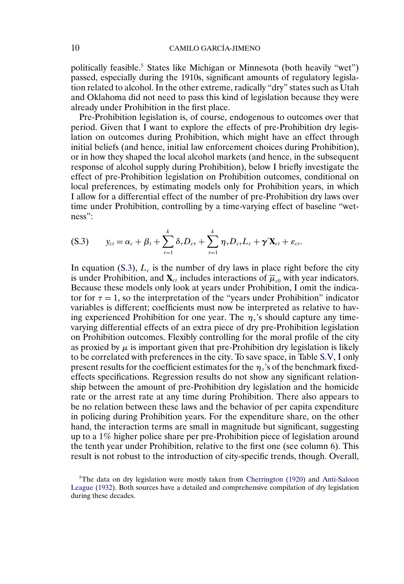<span id="page-9-0"></span>politically feasible.5 States like Michigan or Minnesota (both heavily "wet") passed, especially during the 1910s, significant amounts of regulatory legislation related to alcohol. In the other extreme, radically "dry" states such as Utah and Oklahoma did not need to pass this kind of legislation because they were already under Prohibition in the first place.

Pre-Prohibition legislation is, of course, endogenous to outcomes over that period. Given that I want to explore the effects of pre-Prohibition dry legislation on outcomes during Prohibition, which might have an effect through initial beliefs (and hence, initial law enforcement choices during Prohibition), or in how they shaped the local alcohol markets (and hence, in the subsequent response of alcohol supply during Prohibition), below I briefly investigate the effect of pre-Prohibition legislation on Prohibition outcomes, conditional on local preferences, by estimating models only for Prohibition years, in which I allow for a differential effect of the number of pre-Prohibition dry laws over time under Prohibition, controlling by a time-varying effect of baseline "wetness":

$$
(S.3) \t y_{ct} = \alpha_c + \beta_t + \sum_{\tau=1}^k \delta_\tau D_{c\tau} + \sum_{\tau=1}^k \eta_\tau D_{c\tau} L_c + \gamma' \mathbf{X}_{ct} + \varepsilon_{ct}.
$$

In equation (S.3),  $L_c$  is the number of dry laws in place right before the city is under Prohibition, and  $\mathbf{X}_{ct}$  includes interactions of  $\overline{\boldsymbol{\mu}}_{c0}$  with year indicators. Because these models only look at years under Prohibition, I omit the indicator for  $\tau = 1$ , so the interpretation of the "years under Prohibition" indicator variables is different; coefficients must now be interpreted as relative to having experienced Prohibition for one year. The  $\eta_{\tau}$ 's should capture any timevarying differential effects of an extra piece of dry pre-Prohibition legislation on Prohibition outcomes. Flexibly controlling for the moral profile of the city as proxied by  $\mu$  is important given that pre-Prohibition dry legislation is likely to be correlated with preferences in the city. To save space, in Table [S.V,](#page-10-0) I only present results for the coefficient estimates for the  $\eta_{\tau}$ 's of the benchmark fixedeffects specifications. Regression results do not show any significant relationship between the amount of pre-Prohibition dry legislation and the homicide rate or the arrest rate at any time during Prohibition. There also appears to be no relation between these laws and the behavior of per capita expenditure in policing during Prohibition years. For the expenditure share, on the other hand, the interaction terms are small in magnitude but significant, suggesting up to a 1% higher police share per pre-Prohibition piece of legislation around the tenth year under Prohibition, relative to the first one (see column 6). This result is not robust to the introduction of city-specific trends, though. Overall,

 $5$ The data on dry legislation were mostly taken from [Cherrington](#page-36-0) [\(1920\)](#page-36-0) and [Anti-Saloon](#page-36-0) [League](#page-36-0) [\(1932\)](#page-36-0). Both sources have a detailed and comprehensive compilation of dry legislation during these decades.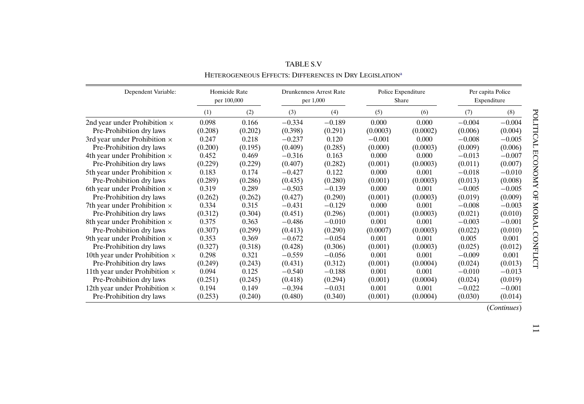<span id="page-10-0"></span>

| Dependent Variable:                  | Homicide Rate<br>per 100,000 |         |          | <b>Drunkenness Arrest Rate</b><br>per 1,000 |          | Police Expenditure<br>Share |          | Per capita Police<br>Expenditure |
|--------------------------------------|------------------------------|---------|----------|---------------------------------------------|----------|-----------------------------|----------|----------------------------------|
|                                      | (1)                          | (2)     | (3)      | (4)                                         | (5)      | (6)                         | (7)      | (8)                              |
| 2nd year under Prohibition $\times$  | 0.098                        | 0.166   | $-0.334$ | $-0.189$                                    | 0.000    | 0.000                       | $-0.004$ | $-0.004$                         |
| Pre-Prohibition dry laws             | (0.208)                      | (0.202) | (0.398)  | (0.291)                                     | (0.0003) | (0.0002)                    | (0.006)  | (0.004)                          |
| 3rd year under Prohibition $\times$  | 0.247                        | 0.218   | $-0.237$ | 0.120                                       | $-0.001$ | 0.000                       | $-0.008$ | $-0.005$                         |
| Pre-Prohibition dry laws             | (0.200)                      | (0.195) | (0.409)  | (0.285)                                     | (0.000)  | (0.0003)                    | (0.009)  | (0.006)                          |
| 4th year under Prohibition $\times$  | 0.452                        | 0.469   | $-0.316$ | 0.163                                       | 0.000    | 0.000                       | $-0.013$ | $-0.007$                         |
| Pre-Prohibition dry laws             | (0.229)                      | (0.229) | (0.407)  | (0.282)                                     | (0.001)  | (0.0003)                    | (0.011)  | (0.007)                          |
| 5th year under Prohibition $\times$  | 0.183                        | 0.174   | $-0.427$ | 0.122                                       | 0.000    | 0.001                       | $-0.018$ | $-0.010$                         |
| Pre-Prohibition dry laws             | (0.289)                      | (0.286) | (0.435)  | (0.280)                                     | (0.001)  | (0.0003)                    | (0.013)  | (0.008)                          |
| 6th year under Prohibition $\times$  | 0.319                        | 0.289   | $-0.503$ | $-0.139$                                    | 0.000    | 0.001                       | $-0.005$ | $-0.005$                         |
| Pre-Prohibition dry laws             | (0.262)                      | (0.262) | (0.427)  | (0.290)                                     | (0.001)  | (0.0003)                    | (0.019)  | (0.009)                          |
| 7th year under Prohibition $\times$  | 0.334                        | 0.315   | $-0.431$ | $-0.129$                                    | 0.000    | 0.001                       | $-0.008$ | $-0.003$                         |
| Pre-Prohibition dry laws             | (0.312)                      | (0.304) | (0.451)  | (0.296)                                     | (0.001)  | (0.0003)                    | (0.021)  | (0.010)                          |
| 8th year under Prohibition $\times$  | 0.375                        | 0.363   | $-0.486$ | $-0.010$                                    | 0.001    | 0.001                       | $-0.003$ | $-0.001$                         |
| Pre-Prohibition dry laws             | (0.307)                      | (0.299) | (0.413)  | (0.290)                                     | (0.0007) | (0.0003)                    | (0.022)  | (0.010)                          |
| 9th year under Prohibition $\times$  | 0.353                        | 0.369   | $-0.672$ | $-0.054$                                    | 0.001    | 0.001                       | 0.005    | 0.001                            |
| Pre-Prohibition dry laws             | (0.327)                      | (0.318) | (0.428)  | (0.306)                                     | (0.001)  | (0.0003)                    | (0.025)  | (0.012)                          |
| 10th year under Prohibition $\times$ | 0.298                        | 0.321   | $-0.559$ | $-0.056$                                    | 0.001    | 0.001                       | $-0.009$ | 0.001                            |
| Pre-Prohibition dry laws             | (0.249)                      | (0.243) | (0.431)  | (0.312)                                     | (0.001)  | (0.0004)                    | (0.024)  | (0.013)                          |
| 11th year under Prohibition $\times$ | 0.094                        | 0.125   | $-0.540$ | $-0.188$                                    | 0.001    | 0.001                       | $-0.010$ | $-0.013$                         |
| Pre-Prohibition dry laws             | (0.251)                      | (0.245) | (0.418)  | (0.294)                                     | (0.001)  | (0.0004)                    | (0.024)  | (0.019)                          |
| 12th year under Prohibition $\times$ | 0.194                        | 0.149   | $-0.394$ | $-0.031$                                    | 0.001    | 0.001                       | $-0.022$ | $-0.001$                         |
| Pre-Prohibition dry laws             | (0.253)                      | (0.240) | (0.480)  | (0.340)                                     | (0.001)  | (0.0004)                    | (0.030)  | (0.014)                          |

TABLE S.V HETEROGENEOUS EFFECTS: DIFFERENCES IN DRY LEGISLATION[a](#page-11-0)

(*Continues*)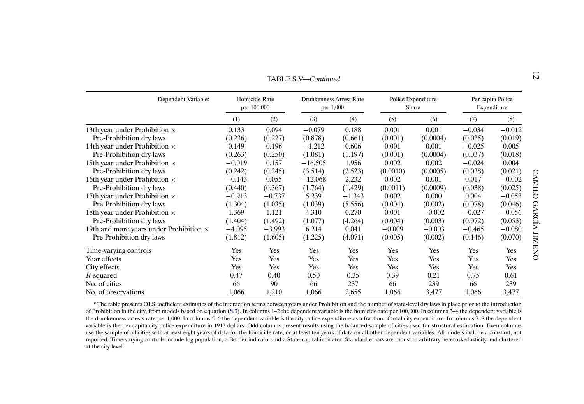<span id="page-11-0"></span>

|                                                |          |                              | TABLE S.V—Continued                         |          |          |                             |          |                                  | N             |
|------------------------------------------------|----------|------------------------------|---------------------------------------------|----------|----------|-----------------------------|----------|----------------------------------|---------------|
| Dependent Variable:                            |          | Homicide Rate<br>per 100,000 | <b>Drunkenness Arrest Rate</b><br>per 1,000 |          |          | Police Expenditure<br>Share |          | Per capita Police<br>Expenditure |               |
|                                                | (1)      | (2)                          | (3)                                         | (4)      | (5)      | (6)                         | (7)      | (8)                              |               |
| 13th year under Prohibition $\times$           | 0.133    | 0.094                        | $-0.079$                                    | 0.188    | 0.001    | 0.001                       | $-0.034$ | $-0.012$                         |               |
| Pre-Prohibition dry laws                       | (0.236)  | (0.227)                      | (0.878)                                     | (0.661)  | (0.001)  | (0.0004)                    | (0.035)  | (0.019)                          |               |
| 14th year under Prohibition $\times$           | 0.149    | 0.196                        | $-1.212$                                    | 0.606    | 0.001    | 0.001                       | $-0.025$ | 0.005                            |               |
| Pre-Prohibition dry laws                       | (0.263)  | (0.250)                      | (1.081)                                     | (1.197)  | (0.001)  | (0.0004)                    | (0.037)  | (0.018)                          |               |
| 15th year under Prohibition $\times$           | $-0.019$ | 0.157                        | $-16.505$                                   | 1.956    | 0.002    | 0.002                       | $-0.024$ | 0.004                            |               |
| Pre-Prohibition dry laws                       | (0.242)  | (0.245)                      | (3.514)                                     | (2.523)  | (0.0010) | (0.0005)                    | (0.038)  | (0.021)                          |               |
| 16th year under Prohibition $\times$           | $-0.143$ | 0.055                        | $-12.068$                                   | 2.232    | 0.002    | 0.001                       | 0.017    | $-0.002$                         | CAMILO        |
| Pre-Prohibition dry laws                       | (0.440)  | (0.367)                      | (1.764)                                     | (1.429)  | (0.0011) | (0.0009)                    | (0.038)  | (0.025)                          |               |
| 17th year under Prohibition $\times$           | $-0.913$ | $-0.737$                     | 5.239                                       | $-1.343$ | 0.002    | 0.000                       | 0.004    | $-0.053$                         |               |
| Pre-Prohibition dry laws                       | (1.304)  | (1.035)                      | (1.039)                                     | (5.556)  | (0.004)  | (0.002)                     | (0.078)  | (0.046)                          |               |
| 18th year under Prohibition $\times$           | 1.369    | 1.121                        | 4.310                                       | 0.270    | 0.001    | $-0.002$                    | $-0.027$ | $-0.056$                         |               |
| Pre-Prohibition dry laws                       | (1.404)  | (1.492)                      | (1.077)                                     | (4.264)  | (0.004)  | (0.003)                     | (0.072)  | (0.053)                          |               |
| 19th and more years under Prohibition $\times$ | $-4.095$ | $-3.993$                     | 6.214                                       | 0.041    | $-0.009$ | $-0.003$                    | $-0.465$ | $-0.080$                         |               |
| Pre Prohibition dry laws                       | (1.812)  | (1.605)                      | (1.225)                                     | (4.071)  | (0.005)  | (0.002)                     | (0.146)  | (0.070)                          | GARCIA-JIMENO |
| Time-varying controls                          | Yes      | Yes                          | Yes                                         | Yes      | Yes      | Yes                         | Yes      | Yes                              |               |
| Year effects                                   | Yes      | Yes                          | Yes                                         | Yes      | Yes      | Yes                         | Yes      | Yes                              |               |
| City effects                                   | Yes      | Yes                          | Yes                                         | Yes      | Yes      | Yes                         | Yes      | Yes                              |               |
| R-squared                                      | 0.47     | 0.40                         | 0.50                                        | 0.35     | 0.39     | 0.21                        | 0.75     | 0.61                             |               |
| No. of cities                                  | 66       | 90                           | 66                                          | 237      | 66       | 239                         | 66       | 239                              |               |
| No. of observations                            | 1,066    | 1,210                        | 1,066                                       | 2,655    | 1,066    | 3,477                       | 1,066    | 3,477                            |               |

aThe table presents OLS coefficient estimates of the interaction terms between years under Prohibition and the number of state-level dry laws in place prior to the introduction of Prohibition in the city, from models based on equation [\(S.3](#page-9-0)). In columns 1–2 the dependent variable is the homicide rate per 100,000. In columns 3–4 the dependent variable is the drunkenness arrests rate per 1,000. In columns 5–6 the dependent variable is the city police expenditure as a fraction of total city expenditure. In columns 7–8 the dependent variable is the per capita city police expenditure in 1913 dollars. Odd columns presen<sup>t</sup> results using the balanced sample of cities used for structural estimation. Even columns use the sample of all cities with at least eight years of data for the homicide rate, or at least ten years of data on all other dependent variables. All models include a constant, not reported. Time-varying controls include log population, <sup>a</sup> Border indicator and <sup>a</sup> State-capital indicator. Standard errors are robust to arbitrary heteroskedasticity and clustered at the city level.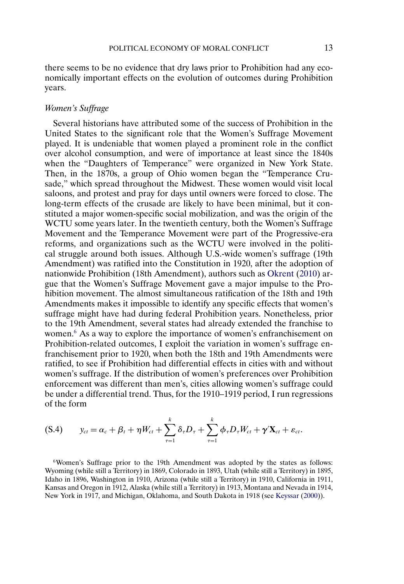<span id="page-12-0"></span>there seems to be no evidence that dry laws prior to Prohibition had any economically important effects on the evolution of outcomes during Prohibition years.

# *Women's Suffrage*

Several historians have attributed some of the success of Prohibition in the United States to the significant role that the Women's Suffrage Movement played. It is undeniable that women played a prominent role in the conflict over alcohol consumption, and were of importance at least since the 1840s when the "Daughters of Temperance" were organized in New York State. Then, in the 1870s, a group of Ohio women began the "Temperance Crusade," which spread throughout the Midwest. These women would visit local saloons, and protest and pray for days until owners were forced to close. The long-term effects of the crusade are likely to have been minimal, but it constituted a major women-specific social mobilization, and was the origin of the WCTU some years later. In the twentieth century, both the Women's Suffrage Movement and the Temperance Movement were part of the Progressive-era reforms, and organizations such as the WCTU were involved in the political struggle around both issues. Although U.S.-wide women's suffrage (19th Amendment) was ratified into the Constitution in 1920, after the adoption of nationwide Prohibition (18th Amendment), authors such as [Okrent](#page-36-0) [\(2010\)](#page-36-0) argue that the Women's Suffrage Movement gave a major impulse to the Prohibition movement. The almost simultaneous ratification of the 18th and 19th Amendments makes it impossible to identify any specific effects that women's suffrage might have had during federal Prohibition years. Nonetheless, prior to the 19th Amendment, several states had already extended the franchise to women.<sup>6</sup> As a way to explore the importance of women's enfranchisement on Prohibition-related outcomes, I exploit the variation in women's suffrage enfranchisement prior to 1920, when both the 18th and 19th Amendments were ratified, to see if Prohibition had differential effects in cities with and without women's suffrage. If the distribution of women's preferences over Prohibition enforcement was different than men's, cities allowing women's suffrage could be under a differential trend. Thus, for the 1910–1919 period, I run regressions of the form

$$
(S.4) \t y_{ct} = \alpha_c + \beta_t + \eta W_{ct} + \sum_{\tau=1}^k \delta_\tau D_\tau + \sum_{\tau=1}^k \phi_\tau D_\tau W_{ct} + \gamma' \mathbf{X}_{ct} + \varepsilon_{ct}.
$$

6Women's Suffrage prior to the 19th Amendment was adopted by the states as follows: Wyoming (while still a Territory) in 1869, Colorado in 1893, Utah (while still a Territory) in 1895, Idaho in 1896, Washington in 1910, Arizona (while still a Territory) in 1910, California in 1911, Kansas and Oregon in 1912, Alaska (while still a Territory) in 1913, Montana and Nevada in 1914, New York in 1917, and Michigan, Oklahoma, and South Dakota in 1918 (see [Keyssar](#page-36-0) [\(2000\)](#page-36-0)).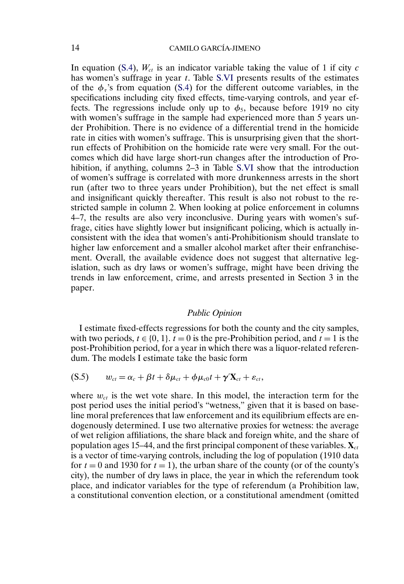<span id="page-13-0"></span>In equation [\(S.4\)](#page-12-0),  $W_{ct}$  is an indicator variable taking the value of 1 if city c has women's suffrage in year t. Table [S.VI](#page-14-0) presents results of the estimates of the  $\phi_{\tau}$ 's from equation [\(S.4\)](#page-12-0) for the different outcome variables, in the specifications including city fixed effects, time-varying controls, and year effects. The regressions include only up to  $\phi_5$ , because before 1919 no city with women's suffrage in the sample had experienced more than 5 years under Prohibition. There is no evidence of a differential trend in the homicide rate in cities with women's suffrage. This is unsurprising given that the shortrun effects of Prohibition on the homicide rate were very small. For the outcomes which did have large short-run changes after the introduction of Pro-hibition, if anything, columns 2–3 in Table [S.VI](#page-14-0) show that the introduction of women's suffrage is correlated with more drunkenness arrests in the short run (after two to three years under Prohibition), but the net effect is small and insignificant quickly thereafter. This result is also not robust to the restricted sample in column 2. When looking at police enforcement in columns 4–7, the results are also very inconclusive. During years with women's suffrage, cities have slightly lower but insignificant policing, which is actually inconsistent with the idea that women's anti-Prohibitionism should translate to higher law enforcement and a smaller alcohol market after their enfranchisement. Overall, the available evidence does not suggest that alternative legislation, such as dry laws or women's suffrage, might have been driving the trends in law enforcement, crime, and arrests presented in Section 3 in the paper.

#### *Public Opinion*

I estimate fixed-effects regressions for both the county and the city samples, with two periods,  $t \in \{0, 1\}$ .  $t = 0$  is the pre-Prohibition period, and  $t = 1$  is the post-Prohibition period, for a year in which there was a liquor-related referendum. The models I estimate take the basic form

$$
(S.5) \qquad w_{ct} = \alpha_c + \beta t + \delta \mu_{ct} + \phi \mu_{c0} t + \gamma' \mathbf{X}_{ct} + \varepsilon_{ct},
$$

where  $w_{ct}$  is the wet vote share. In this model, the interaction term for the post period uses the initial period's "wetness," given that it is based on baseline moral preferences that law enforcement and its equilibrium effects are endogenously determined. I use two alternative proxies for wetness: the average of wet religion affiliations, the share black and foreign white, and the share of population ages 15–44, and the first principal component of these variables.  $\mathbf{X}_{ct}$ is a vector of time-varying controls, including the log of population (1910 data for  $t = 0$  and 1930 for  $t = 1$ ), the urban share of the county (or of the county's city), the number of dry laws in place, the year in which the referendum took place, and indicator variables for the type of referendum (a Prohibition law, a constitutional convention election, or a constitutional amendment (omitted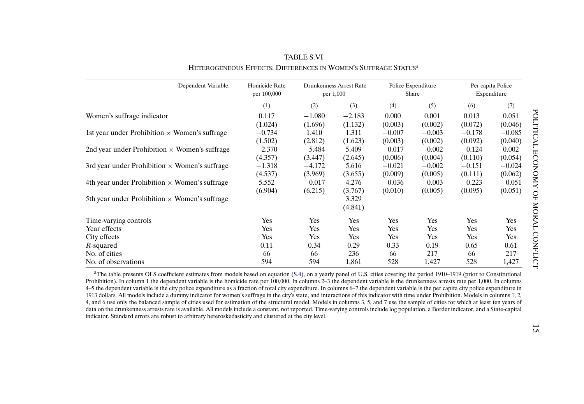<span id="page-14-0"></span>

| Dependent Variable:                                  | Homicide Rate<br>per 100,000 |          | Drunkenness Arrest Rate<br>per 1,000 |          | Police Expenditure<br>Share | Per capita Police<br>Expenditure |          |
|------------------------------------------------------|------------------------------|----------|--------------------------------------|----------|-----------------------------|----------------------------------|----------|
|                                                      | (1)                          | (2)      | (3)                                  | (4)      | (5)                         | (6)                              | (7)      |
| Women's suffrage indicator                           | 0.117                        | $-1.080$ | $-2.183$                             | 0.000    | 0.001                       | 0.013                            | 0.051    |
|                                                      | (1.024)                      | (1.696)  | (1.132)                              | (0.003)  | (0.002)                     | (0.072)                          | (0.046)  |
| 1st year under Prohibition $\times$ Women's suffrage | $-0.734$                     | 1.410    | 1.311                                | $-0.007$ | $-0.003$                    | $-0.178$                         | $-0.085$ |
|                                                      | (1.502)                      | (2.812)  | (1.623)                              | (0.003)  | (0.002)                     | (0.092)                          | (0.040)  |
| 2nd year under Prohibition $\times$ Women's suffrage | $-2.370$                     | $-5.484$ | 5.409                                | $-0.017$ | $-0.002$                    | $-0.124$                         | 0.002    |
|                                                      | (4.357)                      | (3.447)  | (2.645)                              | (0.006)  | (0.004)                     | (0.110)                          | (0.054)  |
| 3rd year under Prohibition $\times$ Women's suffrage | $-1.318$                     | $-4.172$ | 5.616                                | $-0.021$ | $-0.002$                    | $-0.151$                         | $-0.024$ |
|                                                      | (4.537)                      | (3.969)  | (3.655)                              | (0.009)  | (0.005)                     | (0.111)                          | (0.062)  |
| 4th year under Prohibition $\times$ Women's suffrage | 5.552                        | $-0.017$ | 4.276                                | $-0.036$ | $-0.003$                    | $-0.223$                         | $-0.051$ |
|                                                      | (6.904)                      | (6.215)  | (3.767)                              | (0.010)  | (0.005)                     | (0.095)                          | (0.051)  |
| 5th year under Prohibition $\times$ Women's suffrage |                              |          | 3.329                                |          |                             |                                  |          |
|                                                      |                              |          | (4.841)                              |          |                             |                                  |          |
| Time-varying controls                                | Yes                          | Yes      | Yes                                  | Yes      | <b>Yes</b>                  | Yes                              | Yes      |
| Year effects                                         | Yes                          | Yes      | Yes                                  | Yes      | <b>Yes</b>                  | Yes                              | Yes      |
| City effects                                         | Yes                          | Yes      | Yes                                  | Yes      | Yes                         | Yes                              | Yes      |
| R-squared                                            | 0.11                         | 0.34     | 0.29                                 | 0.33     | 0.19                        | 0.65                             | 0.61     |
| No. of cities                                        | 66                           | 66       | 236                                  | 66       | 217                         | 66                               | 217      |
| No. of observations                                  | 594                          | 594      | 1,861                                | 528      | 1,427                       | 528                              | 1,427    |

TABLE S.VIHETEROGENEOUS EFFECTS: DIFFERENCES IN WOMEN'S SUFFRAGE STATUSa

<sup>a</sup>The table presents OLS coefficient estimates from models based on equation ([S.4](#page-12-0)), on a yearly panel of U.S. cities covering the period 1910–1919 (prior to Constitutional Prohibition). In column 1 the dependent variable is the homicide rate per 100,000. In columns 2–3 the dependent variable is the drunkenness arrests rate per 1,000. In columns 4–5 the dependent variable is the city police expenditure as <sup>a</sup> fraction of total city expenditure. In columns 6–7 the dependent variable is the per capita city police expenditure in 1913 dollars. All models include <sup>a</sup> dummy indicator for women's suffrage in the city's state, and interactions of this indicator with time under Prohibition. Models in columns 1, 2, 4, and 6 use only the balanced sample of cities used for estimation of the structural model. Models in columns 3, 5, and 7 use the sample of cities for which at least ten years of data on the drunkenness arrests rate is available. All models include <sup>a</sup> constant, not reported. Time-varying controls include log population, <sup>a</sup> Border indicator, and <sup>a</sup> State-capital indicator. Standard errors are robust to arbitrary heteroskedasticity and clustered at the city level.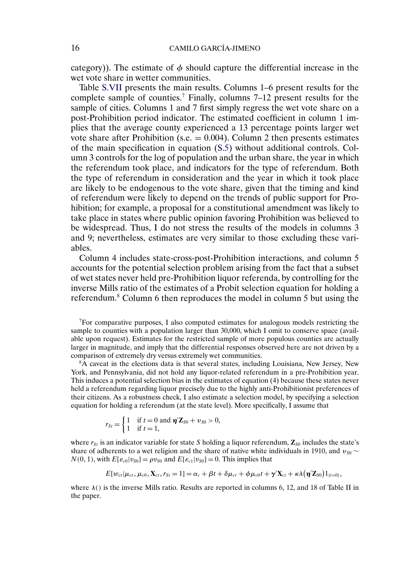<span id="page-15-0"></span>category)). The estimate of  $\phi$  should capture the differential increase in the wet vote share in wetter communities.

Table [S.VII](#page-16-0) presents the main results. Columns 1–6 present results for the complete sample of counties.7 Finally, columns 7–12 present results for the sample of cities. Columns 1 and 7 first simply regress the wet vote share on a post-Prohibition period indicator. The estimated coefficient in column 1 implies that the average county experienced a 13 percentage points larger wet vote share after Prohibition (s.e.  $= 0.004$ ). Column 2 then presents estimates of the main specification in equation [\(S.5\)](#page-13-0) without additional controls. Column 3 controls for the log of population and the urban share, the year in which the referendum took place, and indicators for the type of referendum. Both the type of referendum in consideration and the year in which it took place are likely to be endogenous to the vote share, given that the timing and kind of referendum were likely to depend on the trends of public support for Prohibition; for example, a proposal for a constitutional amendment was likely to take place in states where public opinion favoring Prohibition was believed to be widespread. Thus, I do not stress the results of the models in columns 3 and 9; nevertheless, estimates are very similar to those excluding these variables.

Column 4 includes state-cross-post-Prohibition interactions, and column 5 accounts for the potential selection problem arising from the fact that a subset of wet states never held pre-Prohibition liquor referenda, by controlling for the inverse Mills ratio of the estimates of a Probit selection equation for holding a referendum.8 Column 6 then reproduces the model in column 5 but using the

 $<sup>7</sup>$  For comparative purposes, I also computed estimates for analogous models restricting the</sup> sample to counties with a population larger than 30,000, which I omit to conserve space (available upon request). Estimates for the restricted sample of more populous counties are actually larger in magnitude, and imply that the differential responses observed here are not driven by a comparison of extremely dry versus extremely wet communities.

8A caveat in the elections data is that several states, including Louisiana, New Jersey, New York, and Pennsylvania, did not hold any liquor-related referendum in a pre-Prohibition year. This induces a potential selection bias in the estimates of equation (4) because these states never held a referendum regarding liquor precisely due to the highly anti-Prohibitionist preferences of their citizens. As a robustness check, I also estimate a selection model, by specifying a selection equation for holding a referendum (at the state level). More specifically, I assume that

$$
r_{St} = \begin{cases} 1 & \text{if } t = 0 \text{ and } \pmb{\eta}' \mathbf{Z}_{S0} + v_{S0} > 0, \\ 1 & \text{if } t = 1, \end{cases}
$$

where  $r_{St}$  is an indicator variable for state S holding a liquor referendum,  $\mathbf{Z}_{S0}$  includes the state's share of adherents to a wet religion and the share of native white individuals in 1910, and  $v_{S0} \sim$  $N(0, 1)$ , with  $E[\varepsilon_{c0}|v_{S0}] = \rho v_{S0}$  and  $E[\varepsilon_{c1}|v_{S0}] = 0$ . This implies that

$$
E[w_{ct}|\mu_{ct}, \mu_{c0}, \mathbf{X}_{ct}, r_{St}=1] = \alpha_c + \beta t + \delta \mu_{ct} + \phi \mu_{c0} t + \gamma' \mathbf{X}_{ct} + \kappa \lambda (\boldsymbol{\eta} Z_{S0}) \mathbf{1}_{\{t=0\}},
$$

where  $\lambda$ () is the inverse Mills ratio. Results are reported in columns 6, 12, and 18 of Table II in the paper.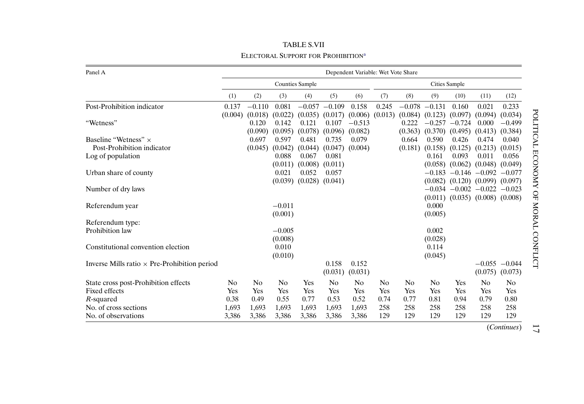<span id="page-16-0"></span>

| Dependent Variable: Wet Vote Share<br>Panel A       |                |                |                |                        |          |                |                |                |                     |                                         |                  |                    |
|-----------------------------------------------------|----------------|----------------|----------------|------------------------|----------|----------------|----------------|----------------|---------------------|-----------------------------------------|------------------|--------------------|
|                                                     |                |                |                | <b>Counties Sample</b> |          |                |                |                |                     | Cities Sample                           |                  |                    |
|                                                     | (1)            | (2)            | (3)            | (4)                    | (5)      | (6)            | (7)            | (8)            | (9)                 | (10)                                    | (11)             | (12)               |
| Post-Prohibition indicator                          | 0.137          | $-0.110$       | 0.081          | $-0.057$               | $-0.109$ | 0.158          | 0.245          | $-0.078$       | $-0.131$            | 0.160                                   | 0.021            | 0.233              |
|                                                     | (0.004)        | (0.018)        | (0.022)        | (0.035)                | (0.017)  | (0.006)        | (0.013)        | (0.084)        | (0.123)             | (0.097)                                 | (0.094)          | (0.034)            |
| "Wetness"                                           |                | 0.120          | 0.142          | 0.121                  | 0.107    | $-0.513$       |                | 0.222          | $-0.257$            | $-0.724$                                | 0.000            | $-0.499$           |
|                                                     |                | (0.090)        | (0.095)        | (0.078)                | (0.096)  | (0.082)        |                | (0.363)        | $(0.370)$ $(0.495)$ |                                         | (0.413)          | (0.384)            |
| Baseline "Wetness" $\times$                         |                | 0.697          | 0.597          | 0.481                  | 0.735    | 0.079          |                | 0.664          | 0.590               | 0.426                                   | 0.474            | 0.040              |
| Post-Prohibition indicator                          |                | (0.045)        | (0.042)        | (0.044)                | (0.047)  | (0.004)        |                | (0.181)        | (0.158)             | (0.125)                                 | (0.213)          | (0.015)            |
| Log of population                                   |                |                | 0.088          | 0.067                  | 0.081    |                |                |                | 0.161               | 0.093                                   | 0.011            | 0.056              |
|                                                     |                |                | (0.011)        | (0.008)                | (0.011)  |                |                |                | (0.058)             | (0.062)                                 | (0.048)          | (0.049)            |
| Urban share of county                               |                |                | 0.021          | 0.052                  | 0.057    |                |                |                | $-0.183$            |                                         | $-0.146 - 0.092$ | $-0.077$           |
|                                                     |                |                | (0.039)        | (0.028)                | (0.041)  |                |                |                |                     | $(0.082)$ $(0.120)$ $(0.099)$           |                  | (0.097)            |
| Number of dry laws                                  |                |                |                |                        |          |                |                |                |                     | $-0.034$ $-0.002$ $-0.022$              |                  | $-0.023$           |
|                                                     |                |                |                |                        |          |                |                |                |                     | $(0.011)$ $(0.035)$ $(0.008)$ $(0.008)$ |                  |                    |
| Referendum year                                     |                |                | $-0.011$       |                        |          |                |                |                | 0.000               |                                         |                  |                    |
|                                                     |                |                | (0.001)        |                        |          |                |                |                | (0.005)             |                                         |                  |                    |
| Referendum type:                                    |                |                |                |                        |          |                |                |                |                     |                                         |                  |                    |
| Prohibition law                                     |                |                | $-0.005$       |                        |          |                |                |                | 0.002               |                                         |                  |                    |
|                                                     |                |                | (0.008)        |                        |          |                |                |                | (0.028)             |                                         |                  |                    |
| Constitutional convention election                  |                |                | 0.010          |                        |          |                |                |                | 0.114               |                                         |                  |                    |
|                                                     |                |                | (0.010)        |                        |          |                |                |                | (0.045)             |                                         |                  |                    |
| Inverse Mills ratio $\times$ Pre-Prohibition period |                |                |                |                        | 0.158    | 0.152          |                |                |                     |                                         |                  | $-0.055 -0.044$    |
|                                                     |                |                |                |                        | (0.031)  | (0.031)        |                |                |                     |                                         | (0.075)          | (0.073)            |
| State cross post-Prohibition effects                | N <sub>0</sub> | N <sub>0</sub> | N <sub>0</sub> | <b>Yes</b>             | No       | N <sub>0</sub> | N <sub>0</sub> | N <sub>0</sub> | N <sub>0</sub>      | <b>Yes</b>                              | No               | No                 |
| Fixed effects                                       | Yes            | Yes            | Yes            | Yes                    | Yes      | Yes            | Yes            | Yes            | Yes                 | Yes                                     | Yes              | Yes                |
| R-squared                                           | 0.38           | 0.49           | 0.55           | 0.77                   | 0.53     | 0.52           | 0.74           | 0.77           | 0.81                | 0.94                                    | 0.79             | 0.80               |
| No. of cross sections                               | 1,693          | 1,693          | 1,693          | 1,693                  | 1,693    | 1,693          | 258            | 258            | 258                 | 258                                     | 258              | 258                |
| No. of observations                                 | 3,386          | 3,386          | 3,386          | 3,386                  | 3,386    | 3,386          | 129            | 129            | 129                 | 129                                     | 129              | 129                |
|                                                     |                |                |                |                        |          |                |                |                |                     |                                         |                  | <i>(Continues)</i> |

TABLE S.VII ELECTORAL SUPPORT FOR PROHIBITION<sup>[a](#page-17-0)</sup>

17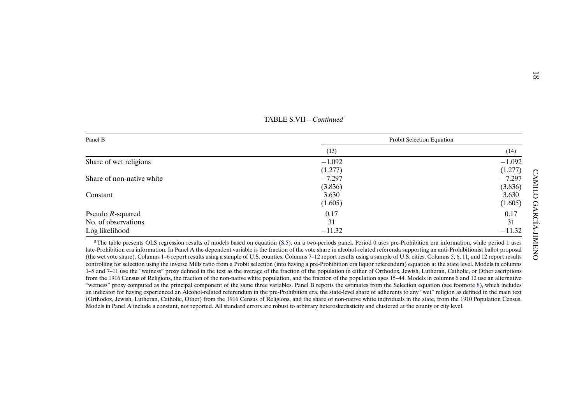<span id="page-17-0"></span>

| Panel B                   |          | Probit Selection Equation |  |  |  |  |
|---------------------------|----------|---------------------------|--|--|--|--|
|                           | (13)     | (14)                      |  |  |  |  |
| Share of wet religions    | $-1.092$ | $-1.092$                  |  |  |  |  |
|                           | (1.277)  | (1.277)                   |  |  |  |  |
| Share of non-native white | $-7.297$ | $-7.297$                  |  |  |  |  |
|                           | (3.836)  | (3.836)                   |  |  |  |  |
| Constant                  | 3.630    | 3.630                     |  |  |  |  |
|                           | (1.605)  | (1.605)                   |  |  |  |  |
| Pseudo $R$ -squared       | 0.17     | 0.17                      |  |  |  |  |
| No. of observations       | 31       | 31                        |  |  |  |  |
| Log likelihood            | $-11.32$ | $-11.32$                  |  |  |  |  |

controlling for selection using the inverse Mills ratio from <sup>a</sup> Probit selection (into having <sup>a</sup> pre-Prohibition era liquor referendum) equation at the state level. Models in columns 1–5 and 7–11 use the "wetness" proxy defined in the text as the average of the fraction of the population in either of Orthodox, Jewish, Lutheran, Catholic, or Other ascriptions from the 1916 Census of Religions, the fraction of the non-native white population, and the fraction of the population ages 15–44. Models in columns 6 and 12 use an alternative "wetness" proxy computed as the principal componen<sup>t</sup> of the same three variables. Panel <sup>B</sup> reports the estimates from the Selection equation (see footnote [8\)](#page-15-0), which includes an indicator for having experienced an Alcohol-related referendum in the pre-Prohibition era, the state-level share of adherents to any "wet" religion as defined in the main text (Orthodox, Jewish, Lutheran, Catholic, Other) from the 1916 Census of Religions, and the share of non-native white individuals in the state, from the 1910 Population Census. Models in Panel A include <sup>a</sup> constant, not reported. All standard errors are robust to arbitrary heteroskedasticity and clustered at the county or city level.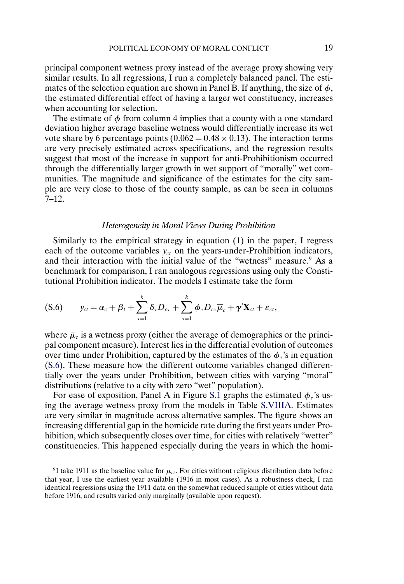<span id="page-18-0"></span>principal component wetness proxy instead of the average proxy showing very similar results. In all regressions, I run a completely balanced panel. The estimates of the selection equation are shown in Panel B. If anything, the size of  $\phi$ , the estimated differential effect of having a larger wet constituency, increases when accounting for selection.

The estimate of  $\phi$  from column 4 implies that a county with a one standard deviation higher average baseline wetness would differentially increase its wet vote share by 6 percentage points  $(0.062 = 0.48 \times 0.13)$ . The interaction terms are very precisely estimated across specifications, and the regression results suggest that most of the increase in support for anti-Prohibitionism occurred through the differentially larger growth in wet support of "morally" wet communities. The magnitude and significance of the estimates for the city sample are very close to those of the county sample, as can be seen in columns  $7 - 12.$ 

#### *Heterogeneity in Moral Views During Prohibition*

Similarly to the empirical strategy in equation (1) in the paper, I regress each of the outcome variables  $y_{ct}$  on the years-under-Prohibition indicators, and their interaction with the initial value of the "wetness" measure.<sup>9</sup> As a benchmark for comparison, I ran analogous regressions using only the Constitutional Prohibition indicator. The models I estimate take the form

$$
(S.6) \t y_{ct} = \alpha_c + \beta_t + \sum_{\tau=1}^k \delta_\tau D_{c\tau} + \sum_{\tau=1}^k \phi_\tau D_{c\tau} \overline{\mu}_c + \gamma' \mathbf{X}_{ct} + \varepsilon_{ct},
$$

where  $\bar{\mu}_c$  is a wetness proxy (either the average of demographics or the principal component measure). Interest lies in the differential evolution of outcomes over time under Prohibition, captured by the estimates of the  $\phi_{\tau}$ 's in equation (S.6). These measure how the different outcome variables changed differentially over the years under Prohibition, between cities with varying "moral" distributions (relative to a city with zero "wet" population).

For ease of exposition, Panel A in Figure [S.1](#page-19-0) graphs the estimated  $\phi_{\tau}$ 's using the average wetness proxy from the models in Table [S.VIIIA.](#page-20-0) Estimates are very similar in magnitude across alternative samples. The figure shows an increasing differential gap in the homicide rate during the first years under Prohibition, which subsequently closes over time, for cities with relatively "wetter" constituencies. This happened especially during the years in which the homi-

<sup>&</sup>lt;sup>9</sup>I take 1911 as the baseline value for  $\mu_{ct}$ . For cities without religious distribution data before that year, I use the earliest year available (1916 in most cases). As a robustness check, I ran identical regressions using the 1911 data on the somewhat reduced sample of cities without data before 1916, and results varied only marginally (available upon request).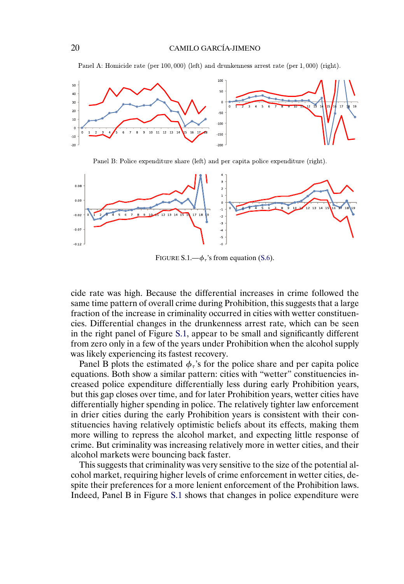Panel A: Homicide rate (per 100,000) (left) and drunkenness arrest rate (per 1,000) (right).

<span id="page-19-0"></span>

Panel B: Police expenditure share (left) and per capita police expenditure (right).



FIGURE S.1.— $\phi_{\tau}$ 's from equation [\(S.6\)](#page-18-0).

cide rate was high. Because the differential increases in crime followed the same time pattern of overall crime during Prohibition, this suggests that a large fraction of the increase in criminality occurred in cities with wetter constituencies. Differential changes in the drunkenness arrest rate, which can be seen in the right panel of Figure S.1, appear to be small and significantly different from zero only in a few of the years under Prohibition when the alcohol supply was likely experiencing its fastest recovery.

Panel B plots the estimated  $\phi_{\tau}$ 's for the police share and per capita police equations. Both show a similar pattern: cities with "wetter" constituencies increased police expenditure differentially less during early Prohibition years, but this gap closes over time, and for later Prohibition years, wetter cities have differentially higher spending in police. The relatively tighter law enforcement in drier cities during the early Prohibition years is consistent with their constituencies having relatively optimistic beliefs about its effects, making them more willing to repress the alcohol market, and expecting little response of crime. But criminality was increasing relatively more in wetter cities, and their alcohol markets were bouncing back faster.

This suggests that criminality was very sensitive to the size of the potential alcohol market, requiring higher levels of crime enforcement in wetter cities, despite their preferences for a more lenient enforcement of the Prohibition laws. Indeed, Panel B in Figure S.1 shows that changes in police expenditure were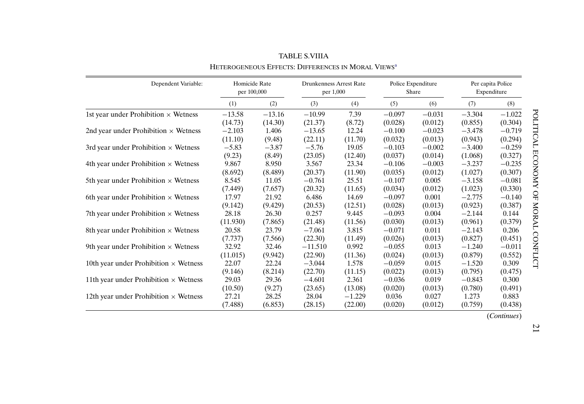<span id="page-20-0"></span>

| Dependent Variable:                          | Homicide Rate<br>per 100,000 |          | <b>Drunkenness Arrest Rate</b><br>per 1,000 |          |          | Police Expenditure<br>Share | Per capita Police | Expenditure |
|----------------------------------------------|------------------------------|----------|---------------------------------------------|----------|----------|-----------------------------|-------------------|-------------|
|                                              | (1)                          | (2)      | (3)                                         | (4)      | (5)      | (6)                         | (7)               | (8)         |
| 1st year under Prohibition $\times$ Wetness  | $-13.58$                     | $-13.16$ | $-10.99$                                    | 7.39     | $-0.097$ | $-0.031$                    | $-3.304$          | $-1.022$    |
|                                              | (14.73)                      | (14.30)  | (21.37)                                     | (8.72)   | (0.028)  | (0.012)                     | (0.855)           | (0.304)     |
| 2nd year under Prohibition $\times$ Wetness  | $-2.103$                     | 1.406    | $-13.65$                                    | 12.24    | $-0.100$ | $-0.023$                    | $-3.478$          | $-0.719$    |
|                                              | (11.10)                      | (9.48)   | (22.11)                                     | (11.70)  | (0.032)  | (0.013)                     | (0.943)           | (0.294)     |
| 3rd year under Prohibition $\times$ Wetness  | $-5.83$                      | $-3.87$  | $-5.76$                                     | 19.05    | $-0.103$ | $-0.002$                    | $-3.400$          | $-0.259$    |
|                                              | (9.23)                       | (8.49)   | (23.05)                                     | (12.40)  | (0.037)  | (0.014)                     | (1.068)           | (0.327)     |
| 4th year under Prohibition $\times$ Wetness  | 9.867                        | 8.950    | 3.567                                       | 23.34    | $-0.106$ | $-0.003$                    | $-3.237$          | $-0.235$    |
|                                              | (8.692)                      | (8.489)  | (20.37)                                     | (11.90)  | (0.035)  | (0.012)                     | (1.027)           | (0.307)     |
| 5th year under Prohibition $\times$ Wetness  | 8.545                        | 11.05    | $-0.761$                                    | 25.51    | $-0.107$ | 0.005                       | $-3.158$          | $-0.081$    |
|                                              | (7.449)                      | (7.657)  | (20.32)                                     | (11.65)  | (0.034)  | (0.012)                     | (1.023)           | (0.330)     |
| 6th year under Prohibition $\times$ Wetness  | 17.97                        | 21.92    | 6.486                                       | 14.69    | $-0.097$ | 0.001                       | $-2.775$          | $-0.140$    |
|                                              | (9.142)                      | (9.429)  | (20.53)                                     | (12.51)  | (0.028)  | (0.013)                     | (0.923)           | (0.387)     |
| 7th year under Prohibition $\times$ Wetness  | 28.18                        | 26.30    | 0.257                                       | 9.445    | $-0.093$ | 0.004                       | $-2.144$          | 0.144       |
|                                              | (11.930)                     | (7.865)  | (21.48)                                     | (11.56)  | (0.030)  | (0.013)                     | (0.961)           | (0.379)     |
| 8th year under Prohibition $\times$ Wetness  | 20.58                        | 23.79    | $-7.061$                                    | 3.815    | $-0.071$ | 0.011                       | $-2.143$          | 0.206       |
|                                              | (7.737)                      | (7.566)  | (22.30)                                     | (11.49)  | (0.026)  | (0.013)                     | (0.827)           | (0.451)     |
| 9th year under Prohibition $\times$ Wetness  | 32.92                        | 32.46    | $-11.510$                                   | 0.992    | $-0.055$ | 0.013                       | $-1.240$          | $-0.011$    |
|                                              | (11.015)                     | (9.942)  | (22.90)                                     | (11.36)  | (0.024)  | (0.013)                     | (0.879)           | (0.552)     |
| 10th year under Prohibition $\times$ Wetness | 22.07                        | 22.24    | $-3.044$                                    | 1.578    | $-0.059$ | 0.015                       | $-1.520$          | 0.309       |
|                                              | (9.146)                      | (8.214)  | (22.70)                                     | (11.15)  | (0.022)  | (0.013)                     | (0.795)           | (0.475)     |
| 11th year under Prohibition $\times$ Wetness | 29.03                        | 29.36    | $-4.601$                                    | 2.361    | $-0.036$ | 0.019                       | $-0.843$          | 0.300       |
|                                              | (10.50)                      | (9.27)   | (23.65)                                     | (13.08)  | (0.020)  | (0.013)                     | (0.780)           | (0.491)     |
| 12th year under Prohibition $\times$ Wetness | 27.21                        | 28.25    | 28.04                                       | $-1.229$ | 0.036    | 0.027                       | 1.273             | 0.883       |
|                                              | (7.488)                      | (6.853)  | (28.15)                                     | (22.00)  | (0.020)  | (0.012)                     | (0.759)           | (0.438)     |

TABLE S.VIIIA Heterogeneous Effects: Differences in Moral Views<sup>a</sup>

(*Continues*)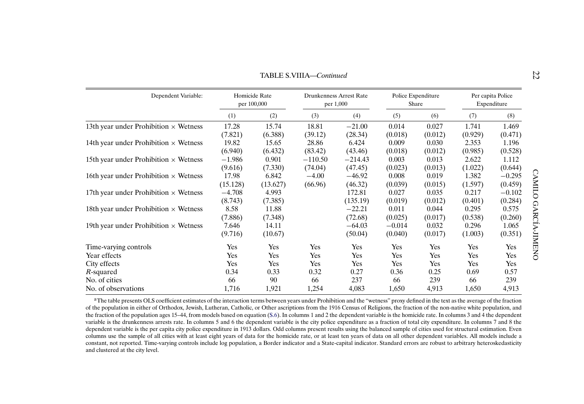<span id="page-21-0"></span>

|                                              |                              |          | <b>TABLE S.VIIIA—Continued</b>       |           |          |                             |                                  |          |           |  |  |
|----------------------------------------------|------------------------------|----------|--------------------------------------|-----------|----------|-----------------------------|----------------------------------|----------|-----------|--|--|
| Dependent Variable:                          | Homicide Rate<br>per 100,000 |          | Drunkenness Arrest Rate<br>per 1,000 |           |          | Police Expenditure<br>Share | Per capita Police<br>Expenditure |          |           |  |  |
|                                              | (1)                          | (2)      | (3)                                  | (4)       | (5)      | (6)                         | (7)                              | (8)      |           |  |  |
| 13th year under Prohibition $\times$ Wetness | 17.28                        | 15.74    | 18.81                                | $-21.00$  | 0.014    | 0.027                       | 1.741                            | 1.469    |           |  |  |
|                                              | (7.821)                      | (6.388)  | (39.12)                              | (28.34)   | (0.018)  | (0.012)                     | (0.929)                          | (0.471)  |           |  |  |
| 14th year under Prohibition $\times$ Wetness | 19.82                        | 15.65    | 28.86                                | 6.424     | 0.009    | 0.030                       | 2.353                            | 1.196    |           |  |  |
|                                              | (6.940)                      | (6.432)  | (83.42)                              | (43.46)   | (0.018)  | (0.012)                     | (0.985)                          | (0.528)  |           |  |  |
| 15th year under Prohibition $\times$ Wetness | $-1.986$                     | 0.901    | $-110.50$                            | $-214.43$ | 0.003    | 0.013                       | 2.622                            | 1.112    |           |  |  |
|                                              | (9.616)                      | (7.330)  | (74.04)                              | (47.45)   | (0.023)  | (0.013)                     | (1.022)                          | (0.644)  |           |  |  |
| 16th year under Prohibition $\times$ Wetness | 17.98                        | 6.842    | $-4.00$                              | $-46.92$  | 0.008    | 0.019                       | 1.382                            | $-0.295$ |           |  |  |
|                                              | (15.128)                     | (13.627) | (66.96)                              | (46.32)   | (0.039)  | (0.015)                     | (1.597)                          | (0.459)  |           |  |  |
| 17th year under Prohibition $\times$ Wetness | $-4.708$                     | 4.993    |                                      | 172.81    | 0.027    | 0.035                       | 0.217                            | $-0.102$ | CAMILO    |  |  |
|                                              | (8.743)                      | (7.385)  |                                      | (135.19)  | (0.019)  | (0.012)                     | (0.401)                          | (0.284)  | Q         |  |  |
| 18th year under Prohibition $\times$ Wetness | 8.58                         | 11.88    |                                      | $-22.21$  | 0.011    | 0.044                       | 0.295                            | 0.575    |           |  |  |
|                                              | (7.886)                      | (7.348)  |                                      | (72.68)   | (0.025)  | (0.017)                     | (0.538)                          | (0.260)  | ARC.      |  |  |
| 19th year under Prohibition $\times$ Wetness | 7.646                        | 14.11    |                                      | $-64.03$  | $-0.014$ | 0.032                       | 0.296                            | 1.065    |           |  |  |
|                                              | (9.716)                      | (10.67)  |                                      | (50.04)   | (0.040)  | (0.017)                     | (1.003)                          | (0.351)  | IA-JIMENC |  |  |
| Time-varying controls                        | Yes                          | Yes      | Yes                                  | Yes       | Yes      | Yes                         | Yes                              | Yes      |           |  |  |
| Year effects                                 | Yes                          | Yes      | Yes                                  | Yes       | Yes      | Yes                         | Yes                              | Yes      |           |  |  |
| City effects                                 | Yes                          | Yes      | Yes                                  | Yes       | Yes      | Yes                         | Yes                              | Yes      |           |  |  |
| R-squared                                    | 0.34                         | 0.33     | 0.32                                 | 0.27      | 0.36     | 0.25                        | 0.69                             | 0.57     |           |  |  |
| No. of cities                                | 66                           | 90       | 66                                   | 237       | 66       | 239                         | 66                               | 239      |           |  |  |
| No. of observations                          | 1,716                        | 1,921    | 1,254                                | 4,083     | 1,650    | 4,913                       | 1,650                            | 4,913    |           |  |  |

<sup>a</sup>The table presents OLS coefficient estimates of the interaction terms between years under Prohibition and the "wetness" proxy defined in the text as the average of the fraction of the population in either of Orthodox, Jewish, Lutheran, Catholic, or Other ascriptions from the 1916 Census of Religions, the fraction of the non-native white population, and the fraction of the population ages 15–44, from models based on equation ([S.6](#page-18-0)). In columns 1 and 2 the dependent variable is the homicide rate. In columns 3 and 4 the dependent variable is the drunkenness arrests rate. In columns 5 and 6 the dependent variable is the city police expenditure as <sup>a</sup> fraction of total city expenditure. In columns 7 and 8 the dependent variable is the per capita city police expenditure in 1913 dollars. Odd columns present results using the balanced sample of cities used for structural estimation. Even columns use the sample of all cities with at least eight years of data for the homicide rate, or at least ten years of data on all other dependent variables. All models include <sup>a</sup> constant, not reported. Time-varying controls include log population, <sup>a</sup> Border indicator and <sup>a</sup> State-capital indicator. Standard errors are robust to arbitrary heteroskedasticity and clustered at the city level.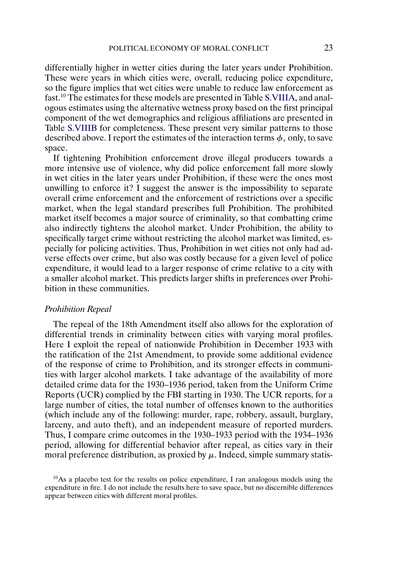differentially higher in wetter cities during the later years under Prohibition. These were years in which cities were, overall, reducing police expenditure, so the figure implies that wet cities were unable to reduce law enforcement as fast.10 The estimates for these models are presented in Table [S.VIIIA,](#page-20-0) and analogous estimates using the alternative wetness proxy based on the first principal component of the wet demographics and religious affiliations are presented in Table [S.VIIIB](#page-23-0) for completeness. These present very similar patterns to those described above. I report the estimates of the interaction terms  $\phi_{\tau}$  only, to save space.

If tightening Prohibition enforcement drove illegal producers towards a more intensive use of violence, why did police enforcement fall more slowly in wet cities in the later years under Prohibition, if these were the ones most unwilling to enforce it? I suggest the answer is the impossibility to separate overall crime enforcement and the enforcement of restrictions over a specific market, when the legal standard prescribes full Prohibition. The prohibited market itself becomes a major source of criminality, so that combatting crime also indirectly tightens the alcohol market. Under Prohibition, the ability to specifically target crime without restricting the alcohol market was limited, especially for policing activities. Thus, Prohibition in wet cities not only had adverse effects over crime, but also was costly because for a given level of police expenditure, it would lead to a larger response of crime relative to a city with a smaller alcohol market. This predicts larger shifts in preferences over Prohibition in these communities.

#### *Prohibition Repeal*

The repeal of the 18th Amendment itself also allows for the exploration of differential trends in criminality between cities with varying moral profiles. Here I exploit the repeal of nationwide Prohibition in December 1933 with the ratification of the 21st Amendment, to provide some additional evidence of the response of crime to Prohibition, and its stronger effects in communities with larger alcohol markets. I take advantage of the availability of more detailed crime data for the 1930–1936 period, taken from the Uniform Crime Reports (UCR) complied by the FBI starting in 1930. The UCR reports, for a large number of cities, the total number of offenses known to the authorities (which include any of the following: murder, rape, robbery, assault, burglary, larceny, and auto theft), and an independent measure of reported murders. Thus, I compare crime outcomes in the 1930–1933 period with the 1934–1936 period, allowing for differential behavior after repeal, as cities vary in their moral preference distribution, as proxied by  $\mu$ . Indeed, simple summary statis-

10As a placebo test for the results on police expenditure, I ran analogous models using the expenditure in fire. I do not include the results here to save space, but no discernible differences appear between cities with different moral profiles.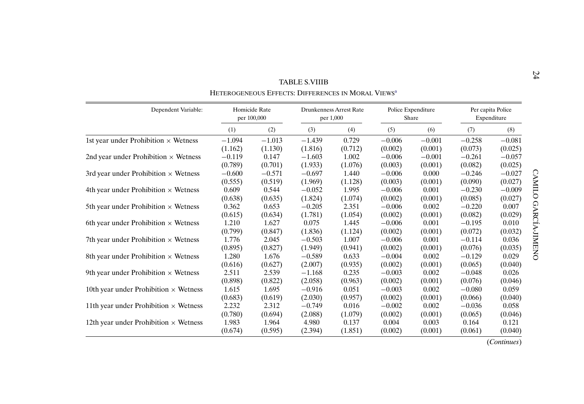<span id="page-23-0"></span>

| Dependent Variable:                          | Homicide Rate<br>per 100,000 |          | Drunkenness Arrest Rate<br>per 1,000 |         | Police Expenditure<br>Share |          | Per capita Police<br>Expenditure |          |
|----------------------------------------------|------------------------------|----------|--------------------------------------|---------|-----------------------------|----------|----------------------------------|----------|
|                                              | (1)                          | (2)      | (3)                                  | (4)     | (5)                         | (6)      | (7)                              | (8)      |
| 1st year under Prohibition $\times$ Wetness  | $-1.094$                     | $-1.013$ | $-1.439$                             | 0.729   | $-0.006$                    | $-0.001$ | $-0.258$                         | $-0.081$ |
|                                              | (1.162)                      | (1.130)  | (1.816)                              | (0.712) | (0.002)                     | (0.001)  | (0.073)                          | (0.025)  |
| 2nd year under Prohibition $\times$ Wetness  | $-0.119$                     | 0.147    | $-1.603$                             | 1.002   | $-0.006$                    | $-0.001$ | $-0.261$                         | $-0.057$ |
|                                              | (0.789)                      | (0.701)  | (1.933)                              | (1.076) | (0.003)                     | (0.001)  | (0.082)                          | (0.025)  |
| 3rd year under Prohibition $\times$ Wetness  | $-0.600$                     | $-0.571$ | $-0.697$                             | 1.440   | $-0.006$                    | 0.000    | $-0.246$                         | $-0.027$ |
|                                              | (0.555)                      | (0.519)  | (1.969)                              | (1.128) | (0.003)                     | (0.001)  | (0.090)                          | (0.027)  |
| 4th year under Prohibition $\times$ Wetness  | 0.609                        | 0.544    | $-0.052$                             | 1.995   | $-0.006$                    | 0.001    | $-0.230$                         | $-0.009$ |
|                                              | (0.638)                      | (0.635)  | (1.824)                              | (1.074) | (0.002)                     | (0.001)  | (0.085)                          | (0.027)  |
| 5th year under Prohibition $\times$ Wetness  | 0.362                        | 0.653    | $-0.205$                             | 2.351   | $-0.006$                    | 0.002    | $-0.220$                         | 0.007    |
|                                              | (0.615)                      | (0.634)  | (1.781)                              | (1.054) | (0.002)                     | (0.001)  | (0.082)                          | (0.029)  |
| 6th year under Prohibition $\times$ Wetness  | 1.210                        | 1.627    | 0.075                                | 1.445   | $-0.006$                    | 0.001    | $-0.195$                         | 0.010    |
|                                              | (0.799)                      | (0.847)  | (1.836)                              | (1.124) | (0.002)                     | (0.001)  | (0.072)                          | (0.032)  |
| 7th year under Prohibition $\times$ Wetness  | 1.776                        | 2.045    | $-0.503$                             | 1.007   | $-0.006$                    | 0.001    | $-0.114$                         | 0.036    |
|                                              | (0.895)                      | (0.827)  | (1.949)                              | (0.941) | (0.002)                     | (0.001)  | (0.076)                          | (0.035)  |
| 8th year under Prohibition $\times$ Wetness  | 1.280                        | 1.676    | $-0.589$                             | 0.633   | $-0.004$                    | 0.002    | $-0.129$                         | 0.029    |
|                                              | (0.616)                      | (0.627)  | (2.007)                              | (0.935) | (0.002)                     | (0.001)  | (0.065)                          | (0.040)  |
| 9th year under Prohibition $\times$ Wetness  | 2.511                        | 2.539    | $-1.168$                             | 0.235   | $-0.003$                    | 0.002    | $-0.048$                         | 0.026    |
|                                              | (0.898)                      | (0.822)  | (2.058)                              | (0.963) | (0.002)                     | (0.001)  | (0.076)                          | (0.046)  |
| 10th year under Prohibition $\times$ Wetness | 1.615                        | 1.695    | $-0.916$                             | 0.051   | $-0.003$                    | 0.002    | $-0.080$                         | 0.059    |
|                                              | (0.683)                      | (0.619)  | (2.030)                              | (0.957) | (0.002)                     | (0.001)  | (0.066)                          | (0.040)  |
| 11th year under Prohibition $\times$ Wetness | 2.232                        | 2.312    | $-0.749$                             | 0.016   | $-0.002$                    | 0.002    | $-0.036$                         | 0.058    |
|                                              | (0.780)                      | (0.694)  | (2.088)                              | (1.079) | (0.002)                     | (0.001)  | (0.065)                          | (0.046)  |
| 12th year under Prohibition $\times$ Wetness | 1.983                        | 1.964    | 4.980                                | 0.137   | 0.004                       | 0.003    | 0.164                            | 0.121    |
|                                              | (0.674)                      | (0.595)  | (2.394)                              | (1.851) | (0.002)                     | (0.001)  | (0.061)                          | (0.040)  |

| <b>TABLE S.VIIIB</b>                              |  |
|---------------------------------------------------|--|
| Hetepogeneous Feeects: Dieeepences in Modal Views |  |

24

(*Continues*)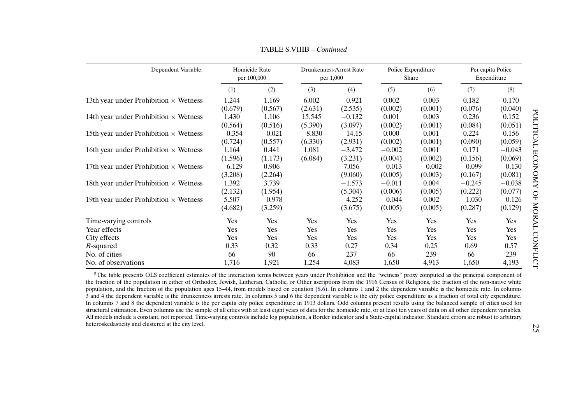<span id="page-24-0"></span>

| Dependent Variable:                          |          | Homicide Rate<br>per 100,000 |          | <b>Drunkenness Arrest Rate</b><br>per 1,000 | Police Expenditure<br>Share |          |          | Per capita Police<br>Expenditure |
|----------------------------------------------|----------|------------------------------|----------|---------------------------------------------|-----------------------------|----------|----------|----------------------------------|
|                                              | (1)      | (2)                          | (3)      | (4)                                         | (5)                         | (6)      | (7)      | (8)                              |
| 13th year under Prohibition $\times$ Wetness | 1.244    | 1.169                        | 6.002    | $-0.921$                                    | 0.002                       | 0.003    | 0.182    | 0.170                            |
|                                              | (0.679)  | (0.567)                      | (2.631)  | (2.535)                                     | (0.002)                     | (0.001)  | (0.076)  | (0.040)                          |
| 14th year under Prohibition $\times$ Wetness | 1.430    | 1.106                        | 15.545   | $-0.132$                                    | 0.001                       | 0.003    | 0.236    | 0.152                            |
|                                              | (0.564)  | (0.516)                      | (5.390)  | (3.097)                                     | (0.002)                     | (0.001)  | (0.084)  | (0.051)                          |
| 15th year under Prohibition $\times$ Wetness | $-0.354$ | $-0.021$                     | $-8.830$ | $-14.15$                                    | 0.000                       | 0.001    | 0.224    | 0.156                            |
|                                              | (0.724)  | (0.557)                      | (6.330)  | (2.931)                                     | (0.002)                     | (0.001)  | (0.090)  | (0.059)                          |
| 16th year under Prohibition $\times$ Wetness | 1.164    | 0.441                        | 1.081    | $-3.472$                                    | $-0.002$                    | 0.001    | 0.171    | $-0.043$                         |
|                                              | (1.596)  | (1.173)                      | (6.084)  | (3.231)                                     | (0.004)                     | (0.002)  | (0.156)  | (0.069)                          |
| 17th year under Prohibition $\times$ Wetness | $-6.129$ | 0.906                        |          | 7.056                                       | $-0.013$                    | $-0.002$ | $-0.099$ | $-0.130$                         |
|                                              | (3.208)  | (2.264)                      |          | (9.060)                                     | (0.005)                     | (0.003)  | (0.167)  | (0.081)                          |
| 18th year under Prohibition $\times$ Wetness | 1.392    | 3.739                        |          | $-1.573$                                    | $-0.011$                    | 0.004    | $-0.245$ | $-0.038$                         |
|                                              | (2.132)  | (1.954)                      |          | (5.304)                                     | (0.006)                     | (0.005)  | (0.222)  | (0.077)                          |
| 19th year under Prohibition $\times$ Wetness | 5.507    | $-0.978$                     |          | $-4.252$                                    | $-0.044$                    | 0.002    | $-1.030$ | $-0.126$                         |
|                                              | (4.682)  | (3.259)                      |          | (3.675)                                     | (0.005)                     | (0.005)  | (0.287)  | (0.129)                          |
| Time-varying controls                        | Yes      | Yes                          | Yes      | Yes                                         | Yes                         | Yes      | Yes      | Yes                              |
| Year effects                                 | Yes      | Yes                          | Yes      | Yes                                         | Yes                         | Yes      | Yes      | Yes                              |
| City effects                                 | Yes      | Yes                          | Yes      | Yes                                         | Yes                         | Yes      | Yes      | Yes                              |
| R-squared                                    | 0.33     | 0.32                         | 0.33     | 0.27                                        | 0.34                        | 0.25     | 0.69     | 0.57                             |
| No. of cities                                | 66       | 90                           | 66       | 237                                         | 66                          | 239      | 66       | 239                              |
| No. of observations                          | 1,716    | 1,921                        | 1,254    | 4,083                                       | 1,650                       | 4,913    | 1,650    | 4,193                            |

TABLE S.VIIIB—*Continued*

<sup>a</sup>The table presents OLS coefficient estimates of the interaction terms between years under Prohibition and the "wetness" proxy computed as the principal component of the fraction of the population in either of Orthodox, Jewish, Lutheran, Catholic, or Other ascriptions from the 1916 Census of Religions, the fraction of the non-native white population, and the fraction of the population ages 15–44, from models based on equation ([S.6](#page-18-0)). In columns 1 and 2 the dependent variable is the homicide rate. In columns 3 and 4 the dependent variable is the drunkenness arrests rate. In columns 5 and 6 the dependent variable is the city police expenditure as <sup>a</sup> fraction of total city expenditure. In columns 7 and 8 the dependent variable is the per capita city police expenditure in 1913 dollars. Odd columns presen<sup>t</sup> results using the balanced sample of cities used for structural estimation. Even columns use the sample of all cities with at least eight years of data for the homicide rate, or at least ten years of data on all other dependent variables. All models include <sup>a</sup> constant, not reported. Time-varying controls include log population, <sup>a</sup> Border indicator and <sup>a</sup> State-capital indicator. Standard errors are robust to arbitrary heteroskedasticity and clustered at the city level.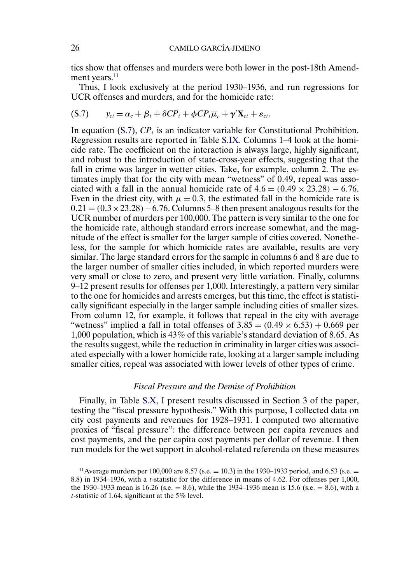tics show that offenses and murders were both lower in the post-18th Amendment years.<sup>11</sup>

Thus, I look exclusively at the period 1930–1936, and run regressions for UCR offenses and murders, and for the homicide rate:

$$
(S.7) \t y_{ct} = \alpha_c + \beta_t + \delta CP_t + \phi CP_t \overline{\mu}_c + \gamma' \mathbf{X}_{ct} + \varepsilon_{ct}.
$$

In equation  $(S.7)$ ,  $CP<sub>t</sub>$  is an indicator variable for Constitutional Prohibition. Regression results are reported in Table [S.IX.](#page-26-0) Columns 1–4 look at the homicide rate. The coefficient on the interaction is always large, highly significant, and robust to the introduction of state-cross-year effects, suggesting that the fall in crime was larger in wetter cities. Take, for example, column 2. The estimates imply that for the city with mean "wetness" of 0 49, repeal was associated with a fall in the annual homicide rate of  $4.6 = (0.49 \times 23.28) - 6.76$ . Even in the driest city, with  $\mu = 0.3$ , the estimated fall in the homicide rate is  $0.21 = (0.3 \times 23.28) - 6.76$ . Columns 5–8 then present analogous results for the UCR number of murders per 100,000. The pattern is very similar to the one for the homicide rate, although standard errors increase somewhat, and the magnitude of the effect is smaller for the larger sample of cities covered. Nonetheless, for the sample for which homicide rates are available, results are very similar. The large standard errors for the sample in columns 6 and 8 are due to the larger number of smaller cities included, in which reported murders were very small or close to zero, and present very little variation. Finally, columns 9–12 present results for offenses per 1,000. Interestingly, a pattern very similar to the one for homicides and arrests emerges, but this time, the effect is statistically significant especially in the larger sample including cities of smaller sizes. From column 12, for example, it follows that repeal in the city with average "wetness" implied a fall in total offenses of  $3.85 = (0.49 \times 6.53) + 0.669$  per 1,000 population, which is 43% of this variable's standard deviation of 8 65. As the results suggest, while the reduction in criminality in larger cities was associated especially with a lower homicide rate, looking at a larger sample including smaller cities, repeal was associated with lower levels of other types of crime.

## *Fiscal Pressure and the Demise of Prohibition*

Finally, in Table [S.X,](#page-27-0) I present results discussed in Section 3 of the paper, testing the "fiscal pressure hypothesis." With this purpose, I collected data on city cost payments and revenues for 1928–1931. I computed two alternative proxies of "fiscal pressure": the difference between per capita revenues and cost payments, and the per capita cost payments per dollar of revenue. I then run models for the wet support in alcohol-related referenda on these measures

<span id="page-25-0"></span>

<sup>&</sup>lt;sup>11</sup> Average murders per 100,000 are 8.57 (s.e.  $= 10.3$ ) in the 1930–1933 period, and 6.53 (s.e.  $=$ 8.8) in 1934–1936, with a t-statistic for the difference in means of 4 62. For offenses per 1,000, the 1930–1933 mean is 16.26 (s.e.  $= 8.6$ ), while the 1934–1936 mean is 15.6 (s.e.  $= 8.6$ ), with a t-statistic of 1 64, significant at the 5% level.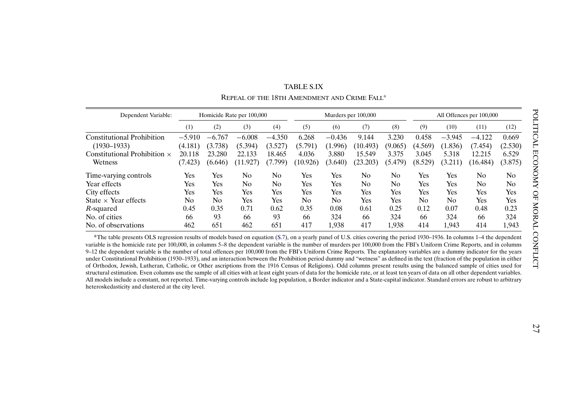<span id="page-26-0"></span>

| Dependent Variable:<br>Homicide Rate per 100,000 |          |                |                | Murders per 100,000 |          |          |                | All Offences per 100,000 |         |                |          |         |
|--------------------------------------------------|----------|----------------|----------------|---------------------|----------|----------|----------------|--------------------------|---------|----------------|----------|---------|
|                                                  | (1)      | (2)            | (3)            | (4)                 | (5)      | (6)      | (7)            | (8)                      | (9)     | (10)           | (11)     | (12)    |
| <b>Constitutional Prohibition</b>                | $-5.910$ | $-6.767$       | $-6.008$       | $-4.350$            | 6.268    | $-0.436$ | 9.144          | 3.230                    | 0.458   | $-3.945$       | $-4.122$ | 0.669   |
| $(1930 - 1933)$                                  | (4.181)  | (3.738)        | (5.394)        | (3.527)             | (5.791)  | (1.996)  | (10.493)       | (9.065)                  | (4.569) | (1.836)        | (7.454)  | (2.530) |
| Constitutional Prohibition $\times$              | 20.118   | 23.280         | 133<br>22.     | 18.465              | 4.036    | 3.880    | 15.549         | 3.375                    | 3.045   | 5.318          | 12.215   | 6.529   |
| Wetness                                          | (7.423)  | (6.646)        | (11.927)       | (7.799)             | (10.926) | (3.640)  | (23.203)       | (5.479)                  | (8.529) | (3.211)        | (16.484) | (3.875) |
| Time-varying controls                            | Yes      | Yes            | No             | No                  | Yes      | Yes      | N <sub>0</sub> | No                       | Yes     | Yes            | No       | No      |
| Year effects                                     | Yes      | Yes            | N <sub>0</sub> | N <sub>0</sub>      | Yes      | Yes      | N <sub>0</sub> | No                       | Yes     | Yes            | No       | No      |
| City effects                                     | Yes      | Yes            | Yes            | Yes                 | Yes      | Yes      | Yes            | Yes                      | Yes     | Yes            | Yes      | Yes     |
| State $\times$ Year effects                      | No       | N <sub>0</sub> | Yes            | Yes                 | No       | No       | Yes            | Yes                      | No      | N <sub>0</sub> | Yes      | Yes     |
| R-squared                                        | 0.45     | 0.35           | 0.71           | 0.62                | 0.35     | 0.08     | 0.61           | 0.25                     | 0.12    | 0.07           | 0.48     | 0.23    |
| No. of cities                                    | 66       | 93             | 66             | 93                  | 66       | 324      | 66             | 324                      | 66      | 324            | 66       | 324     |
| No. of observations                              | 462      | 651            | 462            | 651                 | 417      | 1.938    | 417            | 1.938                    | 414     | 1,943          | 414      | 1,943   |

TABLE S.IXREPEAL OF THE 18TH AMENDMENT AND CRIME FALLa

<sup>a</sup>The table presents OLS regression results of models based on equation ([S.7\)](#page-25-0), on a yearly panel of U.S. cities covering the period 1930–1936. In columns 1–4 the dependent variable is the homicide rate per 100,000, in columns 5–8 the dependent variable is the number of murders per 100,000 from the FBI's Uniform Crime Reports, and in columns 9–12 the dependent variable is the number of total offences per 100,000 from the FBI's Uniform Crime Reports. The explanatory variables are <sup>a</sup> dummy indicator for the years under Constitutional Prohibition (1930–1933), and an interaction between the Prohibition period dummy and "wetness" as defined in the text (fraction of the population in either of Orthodox, Jewish, Lutheran, Catholic, or Other ascriptions from the 1916 Census of Religions). Odd columns presen<sup>t</sup> results using the balanced sample of cities used for structural estimation. Even columns use the sample of all cities with at least eight years of data for the homicide rate, or at least ten years of data on all other dependent variables. All models include <sup>a</sup> constant, not reported. Time-varying controls include log population, <sup>a</sup> Border indicator and <sup>a</sup> State-capital indicator. Standard errors are robust to arbitrary heteroskedasticity and clustered at the city level.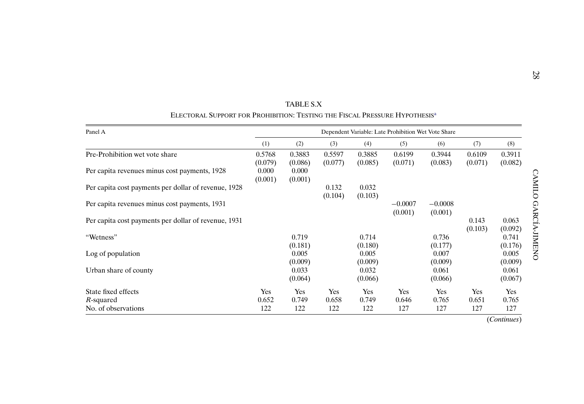<span id="page-27-0"></span>

| Panel A                                              | Dependent Variable: Late Prohibition Wet Vote Share |                   |                   |                   |                      |                      |                   |                   |  |  |
|------------------------------------------------------|-----------------------------------------------------|-------------------|-------------------|-------------------|----------------------|----------------------|-------------------|-------------------|--|--|
|                                                      | (1)                                                 | (2)               | (3)               | (4)               | (5)                  | (6)                  | (7)               | (8)               |  |  |
| Pre-Prohibition wet vote share                       | 0.5768<br>(0.079)                                   | 0.3883<br>(0.086) | 0.5597<br>(0.077) | 0.3885<br>(0.085) | 0.6199<br>(0.071)    | 0.3944<br>(0.083)    | 0.6109<br>(0.071) | 0.3911<br>(0.082) |  |  |
| Per capita revenues minus cost payments, 1928        | 0.000<br>(0.001)                                    | 0.000<br>(0.001)  |                   |                   |                      |                      |                   |                   |  |  |
| Per capita cost payments per dollar of revenue, 1928 |                                                     |                   | 0.132<br>(0.104)  | 0.032<br>(0.103)  |                      |                      |                   |                   |  |  |
| Per capita revenues minus cost payments, 1931        |                                                     |                   |                   |                   | $-0.0007$<br>(0.001) | $-0.0008$<br>(0.001) |                   |                   |  |  |
| Per capita cost payments per dollar of revenue, 1931 |                                                     |                   |                   |                   |                      |                      | 0.143<br>(0.103)  | 0.063<br>(0.092)  |  |  |
| "Wetness"                                            |                                                     | 0.719<br>(0.181)  |                   | 0.714<br>(0.180)  |                      | 0.736<br>(0.177)     |                   | 0.741<br>(0.176)  |  |  |
| Log of population                                    |                                                     | 0.005<br>(0.009)  |                   | 0.005<br>(0.009)  |                      | 0.007<br>(0.009)     |                   | 0.005<br>(0.009)  |  |  |
| Urban share of county                                |                                                     | 0.033<br>(0.064)  |                   | 0.032<br>(0.066)  |                      | 0.061<br>(0.066)     |                   | 0.061<br>(0.067)  |  |  |
| State fixed effects                                  | Yes                                                 | Yes               | Yes               | Yes               | Yes                  | Yes                  | Yes               | Yes               |  |  |
| R-squared<br>No. of observations                     | 0.652<br>122                                        | 0.749<br>122      | 0.658<br>122      | 0.749<br>122      | 0.646<br>127         | 0.765<br>127         | 0.651<br>127      | 0.765<br>127      |  |  |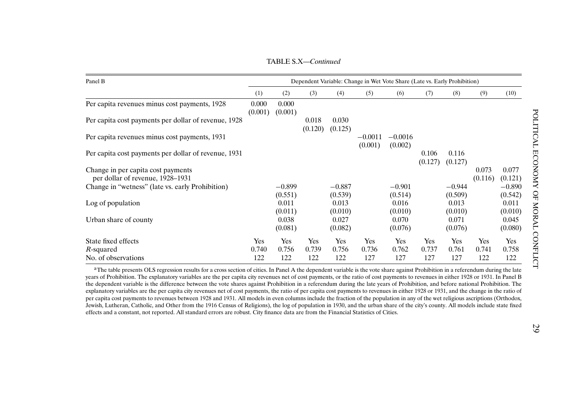TABLE S.X—*Continued*

<span id="page-28-0"></span>

| Panel B                                                                |                  |                     |                  |                     | Dependent Variable: Change in Wet Vote Share (Late vs. Early Prohibition) |                      |                  |                     |                  |                     |
|------------------------------------------------------------------------|------------------|---------------------|------------------|---------------------|---------------------------------------------------------------------------|----------------------|------------------|---------------------|------------------|---------------------|
|                                                                        | (1)              | (2)                 | (3)              | (4)                 | (5)                                                                       | (6)                  | (7)              | (8)                 | (9)              | (10)                |
| Per capita revenues minus cost payments, 1928                          | 0.000<br>(0.001) | 0.000<br>(0.001)    |                  |                     |                                                                           |                      |                  |                     |                  |                     |
| Per capita cost payments per dollar of revenue, 1928                   |                  |                     | 0.018<br>(0.120) | 0.030<br>(0.125)    |                                                                           |                      |                  |                     |                  |                     |
| Per capita revenues minus cost payments, 1931                          |                  |                     |                  |                     | $-0.0011$<br>(0.001)                                                      | $-0.0016$<br>(0.002) |                  |                     |                  |                     |
| Per capita cost payments per dollar of revenue, 1931                   |                  |                     |                  |                     |                                                                           |                      | 0.106<br>(0.127) | 0.116<br>(0.127)    |                  |                     |
| Change in per capita cost payments<br>per dollar of revenue, 1928–1931 |                  |                     |                  |                     |                                                                           |                      |                  |                     | 0.073<br>(0.116) | 0.077<br>(0.121)    |
| Change in "wetness" (late vs. early Prohibition)                       |                  | $-0.899$<br>(0.551) |                  | $-0.887$<br>(0.539) |                                                                           | $-0.901$<br>(0.514)  |                  | $-0.944$<br>(0.509) |                  | $-0.890$<br>(0.542) |
| Log of population                                                      |                  | 0.011<br>(0.011)    |                  | 0.013<br>(0.010)    |                                                                           | 0.016<br>(0.010)     |                  | 0.013<br>(0.010)    |                  | 0.011<br>(0.010)    |
| Urban share of county                                                  |                  | 0.038<br>(0.081)    |                  | 0.027<br>(0.082)    |                                                                           | 0.070<br>(0.076)     |                  | 0.071<br>(0.076)    |                  | 0.045<br>(0.080)    |
| State fixed effects                                                    | Yes              | Yes                 | Yes              | Yes                 | Yes                                                                       | Yes                  | Yes              | Yes                 | Yes              | Yes                 |
| R-squared<br>No. of observations                                       | 0.740<br>122     | 0.756<br>122        | 0.739<br>122     | 0.756<br>122        | 0.736<br>127                                                              | 0.762<br>127         | 0.737<br>127     | 0.761<br>127        | 0.741<br>122     | 0.758<br>122        |

<sup>a</sup>The table presents OLS regression results for a cross section of cities. In Panel A the dependent variable is the vote share against Prohibition in a referendum during the late years of Prohibition. The explanatory variables are the per capita city revenues net of cost payments, or the ratio of cost payments to revenues in either 1928 or 1931. In Panel B the dependent variable is the difference between the vote shares against Prohibition in <sup>a</sup> referendum during the late years of Prohibition, and before national Prohibition. The explanatory variables are the per capita city revenues net of cost payments, the ratio of per capita cost payments to revenues in either 1928 or 1931, and the change in the ratio of per capita cost payments to revenues between 1928 and 1931. All models in even columns include the fraction of the population in any of the wet religious ascriptions (Orthodox, Jewish, Lutheran, Catholic, and Other from the 1916 Census of Religions), the log of population in 1930, and the urban share of the city's county. All models include state fixed effects and <sup>a</sup> constant, not reported. All standard errors are robust. City finance data are from the Financial Statistics of Cities.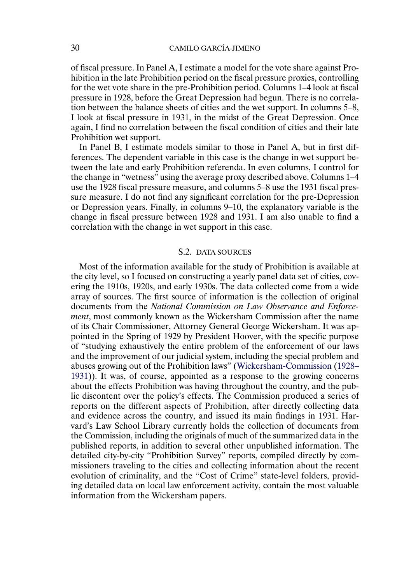<span id="page-29-0"></span>of fiscal pressure. In Panel A, I estimate a model for the vote share against Prohibition in the late Prohibition period on the fiscal pressure proxies, controlling for the wet vote share in the pre-Prohibition period. Columns 1–4 look at fiscal pressure in 1928, before the Great Depression had begun. There is no correlation between the balance sheets of cities and the wet support. In columns 5–8, I look at fiscal pressure in 1931, in the midst of the Great Depression. Once again, I find no correlation between the fiscal condition of cities and their late Prohibition wet support.

In Panel B, I estimate models similar to those in Panel A, but in first differences. The dependent variable in this case is the change in wet support between the late and early Prohibition referenda. In even columns, I control for the change in "wetness" using the average proxy described above. Columns 1–4 use the 1928 fiscal pressure measure, and columns 5–8 use the 1931 fiscal pressure measure. I do not find any significant correlation for the pre-Depression or Depression years. Finally, in columns 9–10, the explanatory variable is the change in fiscal pressure between 1928 and 1931. I am also unable to find a correlation with the change in wet support in this case.

### S.2. DATA SOURCES

Most of the information available for the study of Prohibition is available at the city level, so I focused on constructing a yearly panel data set of cities, covering the 1910s, 1920s, and early 1930s. The data collected come from a wide array of sources. The first source of information is the collection of original documents from the *National Commission on Law Observance and Enforcement*, most commonly known as the Wickersham Commission after the name of its Chair Commissioner, Attorney General George Wickersham. It was appointed in the Spring of 1929 by President Hoover, with the specific purpose of "studying exhaustively the entire problem of the enforcement of our laws and the improvement of our judicial system, including the special problem and abuses growing out of the Prohibition laws" [\(Wickersham-Commission](#page-36-0) [\(1928–](#page-36-0) [1931\)](#page-36-0)). It was, of course, appointed as a response to the growing concerns about the effects Prohibition was having throughout the country, and the public discontent over the policy's effects. The Commission produced a series of reports on the different aspects of Prohibition, after directly collecting data and evidence across the country, and issued its main findings in 1931. Harvard's Law School Library currently holds the collection of documents from the Commission, including the originals of much of the summarized data in the published reports, in addition to several other unpublished information. The detailed city-by-city "Prohibition Survey" reports, compiled directly by commissioners traveling to the cities and collecting information about the recent evolution of criminality, and the "Cost of Crime" state-level folders, providing detailed data on local law enforcement activity, contain the most valuable information from the Wickersham papers.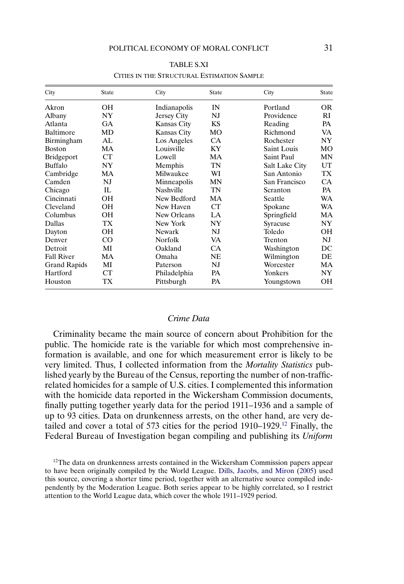<span id="page-30-0"></span>

| City                | <b>State</b> | City               | State     | City           | <b>State</b> |
|---------------------|--------------|--------------------|-----------|----------------|--------------|
| Akron               | OН           | Indianapolis       | IN        | Portland       | 0R           |
| Albany              | NY           | Jersey City        | NJ        | Providence     | RI           |
| Atlanta             | <b>GA</b>    | Kansas City        | <b>KS</b> | Reading        | PA           |
| Baltimore           | MD           | <b>Kansas City</b> | MO        | Richmond       | VA           |
| Birmingham          | AL           | Los Angeles        | <b>CA</b> | Rochester      | NY           |
| <b>Boston</b>       | MA           | Louisville         | KY        | Saint Louis    | MO           |
| <b>Bridgeport</b>   | CT           | Lowell             | MA        | Saint Paul     | MN           |
| Buffalo             | NY           | Memphis            | TN        | Salt Lake City | <b>UT</b>    |
| Cambridge           | MA           | Milwaukee          | WI        | San Antonio    | TX           |
| Camden              | NJ           | Minneapolis        | MN        | San Francisco  | <b>CA</b>    |
| Chicago             | IL           | <b>Nashville</b>   | TN        | Scranton       | PA           |
| Cincinnati          | OН           | New Bedford        | MA        | Seattle        | WA           |
| Cleveland           | OН           | New Haven          | CT        | Spokane        | WA           |
| Columbus            | OН           | New Orleans        | LA        | Springfield    | MA           |
| Dallas              | TX           | New York           | NY        | Syracuse       | NY           |
| Dayton              | OН           | Newark             | NJ        | Toledo         | OН           |
| Denver              | CO           | Norfolk            | VA        | Trenton        | NJ           |
| Detroit             | MI           | Oakland            | <b>CA</b> | Washington     | DC           |
| <b>Fall River</b>   | MA           | Omaha              | <b>NE</b> | Wilmington     | DE           |
| <b>Grand Rapids</b> | MI           | Paterson           | NJ        | Worcester      | MA           |
| Hartford            | <b>CT</b>    | Philadelphia       | PA        | Yonkers        | NY           |
| Houston             | TX           | Pittsburgh         | PA        | Youngstown     | OН           |

TABLE S.XI CITIES IN THE STRUCTURAL ESTIMATION SAMPLE

### *Crime Data*

Criminality became the main source of concern about Prohibition for the public. The homicide rate is the variable for which most comprehensive information is available, and one for which measurement error is likely to be very limited. Thus, I collected information from the *Mortality Statistics* published yearly by the Bureau of the Census, reporting the number of non-trafficrelated homicides for a sample of U.S. cities. I complemented this information with the homicide data reported in the Wickersham Commission documents, finally putting together yearly data for the period 1911–1936 and a sample of up to 93 cities. Data on drunkenness arrests, on the other hand, are very detailed and cover a total of 573 cities for the period 1910–1929.12 Finally, the Federal Bureau of Investigation began compiling and publishing its *Uniform*

 $12$ The data on drunkenness arrests contained in the Wickersham Commission papers appear to have been originally compiled by the World League. [Dills, Jacobs, and Miron](#page-36-0) [\(2005\)](#page-36-0) used this source, covering a shorter time period, together with an alternative source compiled independently by the Moderation League. Both series appear to be highly correlated, so I restrict attention to the World League data, which cover the whole 1911–1929 period.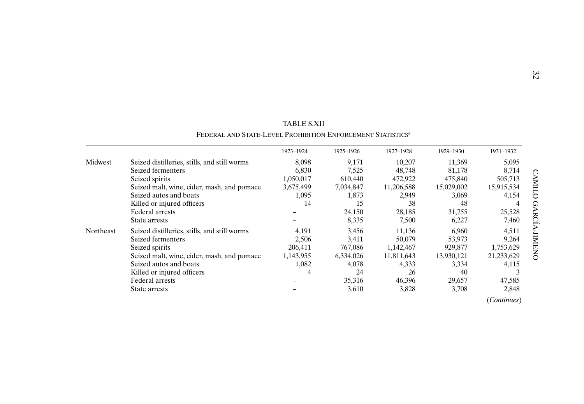|           |                                                                         | TABLE S.XII |           |            |            |            |
|-----------|-------------------------------------------------------------------------|-------------|-----------|------------|------------|------------|
|           | FEDERAL AND STATE-LEVEL PROHIBITION ENFORCEMENT STATISTICS <sup>a</sup> |             |           |            |            |            |
|           |                                                                         | 1923-1924   | 1925-1926 | 1927-1928  | 1929-1930  | 1931-1932  |
| Midwest   | Seized distilleries, stills, and still worms                            | 8,098       | 9,171     | 10,207     | 11,369     | 5,095      |
|           | Seized fermenters                                                       | 6,830       | 7,525     | 48,748     | 81,178     | 8,714      |
|           | Seized spirits                                                          | 1,050,017   | 610,440   | 472,922    | 475,840    | 505,713    |
|           | Seized malt, wine, cider, mash, and pomace                              | 3,675,499   | 7,034,847 | 11,206,588 | 15,029,002 | 15,915,534 |
|           | Seized autos and boats                                                  | 1,095       | 1,873     | 2,949      | 3,069      | 4,154      |
|           | Killed or injured officers                                              | 14          | 15        | 38         | 48         |            |
|           | Federal arrests                                                         |             | 24,150    | 28,185     | 31,755     | 25,528     |
|           | State arrests                                                           |             | 8,335     | 7,500      | 6,227      | 7,460      |
| Northeast | Seized distilleries, stills, and still worms                            | 4,191       | 3,456     | 11,136     | 6,960      | 4,511      |
|           | Seized fermenters                                                       | 2,506       | 3,411     | 50,079     | 53,973     | 9,264      |
|           | Seized spirits                                                          | 206,411     | 767,086   | 1,142,467  | 929,877    | 1,753,629  |
|           | Seized malt, wine, cider, mash, and pomace                              | 1,143,955   | 6,334,026 | 11,811,643 | 13,930,121 | 21,233,629 |
|           | Seized autos and boats                                                  | 1,082       | 4,078     | 4,333      | 3,334      | 4,115      |
|           | Killed or injured officers                                              |             | 24        | 26         | 40         |            |
|           | <b>Federal arrests</b>                                                  |             | 35,316    | 46,396     | 29,657     | 47,585     |
|           | State arrests                                                           |             | 3,610     | 3,828      | 3,708      | 2,848      |

| <b>TABLE S.XII</b>                                        |
|-----------------------------------------------------------|
| FEDERAL AND STATE-LEVEL PROHIBITION ENFORCEMENT STATISTIC |

(*Continues*)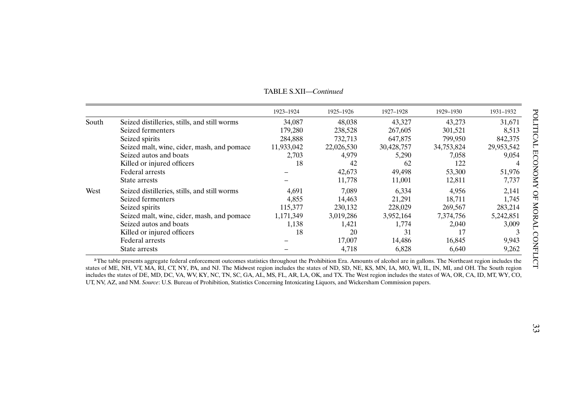<span id="page-32-0"></span>

|       |                                              | 1923-1924  | 1925-1926  | 1927-1928  | 1929-1930  | 1931-1932  |
|-------|----------------------------------------------|------------|------------|------------|------------|------------|
| South | Seized distilleries, stills, and still worms | 34,087     | 48,038     | 43,327     | 43,273     | 31,671     |
|       | Seized fermenters                            | 179,280    | 238,528    | 267,605    | 301,521    | 8,513      |
|       | Seized spirits                               | 284,888    | 732,713    | 647,875    | 799,950    | 842,375    |
|       | Seized malt, wine, cider, mash, and pomace   | 11,933,042 | 22,026,530 | 30,428,757 | 34,753,824 | 29,953,542 |
|       | Seized autos and boats                       | 2,703      | 4,979      | 5,290      | 7,058      | 9,054      |
|       | Killed or injured officers                   | 18         | 42         | 62         | 122        | 4          |
|       | Federal arrests                              |            | 42,673     | 49,498     | 53,300     | 51,976     |
|       | State arrests                                |            | 11,778     | 11,001     | 12,811     | 7,737      |
| West  | Seized distilleries, stills, and still worms | 4,691      | 7.089      | 6,334      | 4,956      | 2,141      |
|       | Seized fermenters                            | 4,855      | 14,463     | 21,291     | 18,711     | 1,745      |
|       | Seized spirits                               | 115,377    | 230,132    | 228,029    | 269,567    | 283,214    |
|       | Seized malt, wine, cider, mash, and pomace   | 1,171,349  | 3,019,286  | 3,952,164  | 7,374,756  | 5,242,851  |
|       | Seized autos and boats                       | 1,138      | 1,421      | 1,774      | 2,040      | 3,009      |
|       | Killed or injured officers                   | 18         | 20         | 31         | 17         |            |
|       | Federal arrests                              |            | 17,007     | 14,486     | 16,845     | 9,943      |
|       | State arrests                                |            | 4,718      | 6,828      | 6,640      | 9,262      |

TABLE S.XII—*Continued*

<sup>a</sup>The table presents aggregate federal enforcement outcomes statistics throughout the Prohibition Era. Amounts of alcohol are in gallons. The Northeast region includes the states of ME, NH, VT, MA, RI, CT, NY, PA, and NJ. The Midwest region includes the states of ND, SD, NE, KS, MN, IA, MO, WI, IL, IN, MI, and OH. The South region includes the states of DE, MD, DC, VA, WV, KY, NC, TN, SC, GA, AL, MS, FL, AR, LA, OK, and TX. The West region includes the states of WA, OR, CA, ID, MT, WY, CO, UT, NV, AZ, and NM. *Source*: U.S. Bureau of Prohibition, Statistics Concerning Intoxicating Liquors, and Wickersham Commission papers.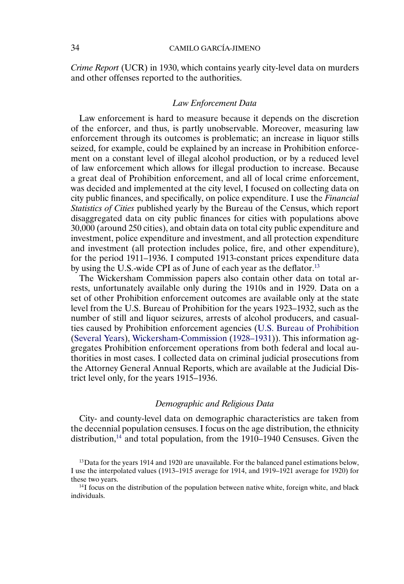# <span id="page-33-0"></span>34 CAMILO GARCÍA-JIMENO

*Crime Report* (UCR) in 1930, which contains yearly city-level data on murders and other offenses reported to the authorities.

### *Law Enforcement Data*

Law enforcement is hard to measure because it depends on the discretion of the enforcer, and thus, is partly unobservable. Moreover, measuring law enforcement through its outcomes is problematic; an increase in liquor stills seized, for example, could be explained by an increase in Prohibition enforcement on a constant level of illegal alcohol production, or by a reduced level of law enforcement which allows for illegal production to increase. Because a great deal of Prohibition enforcement, and all of local crime enforcement, was decided and implemented at the city level, I focused on collecting data on city public finances, and specifically, on police expenditure. I use the *Financial Statistics of Cities* published yearly by the Bureau of the Census, which report disaggregated data on city public finances for cities with populations above 30,000 (around 250 cities), and obtain data on total city public expenditure and investment, police expenditure and investment, and all protection expenditure and investment (all protection includes police, fire, and other expenditure), for the period 1911–1936. I computed 1913-constant prices expenditure data by using the U.S.-wide CPI as of June of each year as the deflator.<sup>13</sup>

The Wickersham Commission papers also contain other data on total arrests, unfortunately available only during the 1910s and in 1929. Data on a set of other Prohibition enforcement outcomes are available only at the state level from the U.S. Bureau of Prohibition for the years 1923–1932, such as the number of still and liquor seizures, arrests of alcohol producers, and casualties caused by Prohibition enforcement agencies [\(U.S. Bureau of Prohibition](#page-36-0) [\(Several Years\)](#page-36-0), [Wickersham-Commission](#page-36-0) [\(1928–1931\)](#page-36-0)). This information aggregates Prohibition enforcement operations from both federal and local authorities in most cases. I collected data on criminal judicial prosecutions from the Attorney General Annual Reports, which are available at the Judicial District level only, for the years 1915–1936.

## *Demographic and Religious Data*

City- and county-level data on demographic characteristics are taken from the decennial population censuses. I focus on the age distribution, the ethnicity distribution,<sup>14</sup> and total population, from the  $1910-1940$  Censuses. Given the

 $14$ I focus on the distribution of the population between native white, foreign white, and black individuals.

<sup>&</sup>lt;sup>13</sup>Data for the years 1914 and 1920 are unavailable. For the balanced panel estimations below, I use the interpolated values (1913–1915 average for 1914, and 1919–1921 average for 1920) for these two years.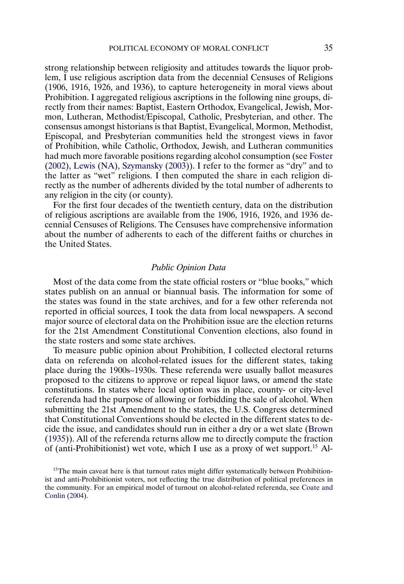<span id="page-34-0"></span>strong relationship between religiosity and attitudes towards the liquor problem, I use religious ascription data from the decennial Censuses of Religions (1906, 1916, 1926, and 1936), to capture heterogeneity in moral views about Prohibition. I aggregated religious ascriptions in the following nine groups, directly from their names: Baptist, Eastern Orthodox, Evangelical, Jewish, Mormon, Lutheran, Methodist/Episcopal, Catholic, Presbyterian, and other. The consensus amongst historians is that Baptist, Evangelical, Mormon, Methodist, Episcopal, and Presbyterian communities held the strongest views in favor of Prohibition, while Catholic, Orthodox, Jewish, and Lutheran communities had much more favorable positions regarding alcohol consumption (see [Foster](#page-36-0) [\(2002\)](#page-36-0), [Lewis](#page-36-0) [\(NA\)](#page-36-0), [Szymansky](#page-36-0) [\(2003\)](#page-36-0)). I refer to the former as "dry" and to the latter as "wet" religions. I then computed the share in each religion directly as the number of adherents divided by the total number of adherents to any religion in the city (or county).

For the first four decades of the twentieth century, data on the distribution of religious ascriptions are available from the 1906, 1916, 1926, and 1936 decennial Censuses of Religions. The Censuses have comprehensive information about the number of adherents to each of the different faiths or churches in the United States.

## *Public Opinion Data*

Most of the data come from the state official rosters or "blue books," which states publish on an annual or biannual basis. The information for some of the states was found in the state archives, and for a few other referenda not reported in official sources, I took the data from local newspapers. A second major source of electoral data on the Prohibition issue are the election returns for the 21st Amendment Constitutional Convention elections, also found in the state rosters and some state archives.

To measure public opinion about Prohibition, I collected electoral returns data on referenda on alcohol-related issues for the different states, taking place during the 1900s–1930s. These referenda were usually ballot measures proposed to the citizens to approve or repeal liquor laws, or amend the state constitutions. In states where local option was in place, county- or city-level referenda had the purpose of allowing or forbidding the sale of alcohol. When submitting the 21st Amendment to the states, the U.S. Congress determined that Constitutional Conventions should be elected in the different states to decide the issue, and candidates should run in either a dry or a wet slate [\(Brown](#page-36-0) [\(1935\)](#page-36-0)). All of the referenda returns allow me to directly compute the fraction of (anti-Prohibitionist) wet vote, which I use as a proxy of wet support.15 Al-

<sup>15</sup>The main caveat here is that turnout rates might differ systematically between Prohibitionist and anti-Prohibitionist voters, not reflecting the true distribution of political preferences in the community. For an empirical model of turnout on alcohol-related referenda, see [Coate and](#page-36-0) [Conlin](#page-36-0) [\(2004\)](#page-36-0).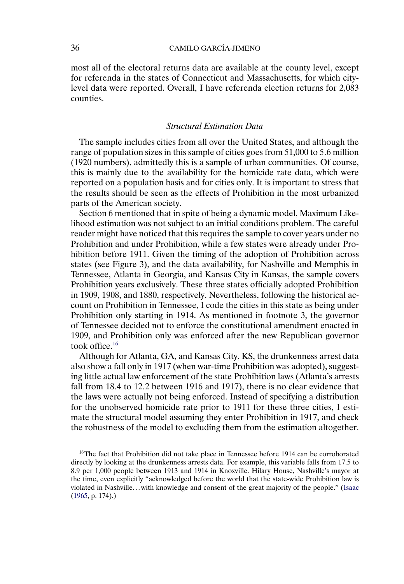<span id="page-35-0"></span>most all of the electoral returns data are available at the county level, except for referenda in the states of Connecticut and Massachusetts, for which citylevel data were reported. Overall, I have referenda election returns for 2,083 counties.

# *Structural Estimation Data*

The sample includes cities from all over the United States, and although the range of population sizes in this sample of cities goes from 51,000 to 5 6 million (1920 numbers), admittedly this is a sample of urban communities. Of course, this is mainly due to the availability for the homicide rate data, which were reported on a population basis and for cities only. It is important to stress that the results should be seen as the effects of Prohibition in the most urbanized parts of the American society.

Section 6 mentioned that in spite of being a dynamic model, Maximum Likelihood estimation was not subject to an initial conditions problem. The careful reader might have noticed that this requires the sample to cover years under no Prohibition and under Prohibition, while a few states were already under Prohibition before 1911. Given the timing of the adoption of Prohibition across states (see Figure 3), and the data availability, for Nashville and Memphis in Tennessee, Atlanta in Georgia, and Kansas City in Kansas, the sample covers Prohibition years exclusively. These three states officially adopted Prohibition in 1909, 1908, and 1880, respectively. Nevertheless, following the historical account on Prohibition in Tennessee, I code the cities in this state as being under Prohibition only starting in 1914. As mentioned in footnote 3, the governor of Tennessee decided not to enforce the constitutional amendment enacted in 1909, and Prohibition only was enforced after the new Republican governor took office.16

Although for Atlanta, GA, and Kansas City, KS, the drunkenness arrest data also show a fall only in 1917 (when war-time Prohibition was adopted), suggesting little actual law enforcement of the state Prohibition laws (Atlanta's arrests fall from 18 4 to 12 2 between 1916 and 1917), there is no clear evidence that the laws were actually not being enforced. Instead of specifying a distribution for the unobserved homicide rate prior to 1911 for these three cities, I estimate the structural model assuming they enter Prohibition in 1917, and check the robustness of the model to excluding them from the estimation altogether.

<sup>&</sup>lt;sup>16</sup>The fact that Prohibition did not take place in Tennessee before 1914 can be corroborated directly by looking at the drunkenness arrests data. For example, this variable falls from 17 5 to 8 9 per 1,000 people between 1913 and 1914 in Knoxville. Hilary House, Nashville's mayor at the time, even explicitly "acknowledged before the world that the state-wide Prohibition law is violated in Nashville. . . with knowledge and consent of the great majority of the people." [\(Isaac](#page-36-0) [\(1965,](#page-36-0) p. 174).)